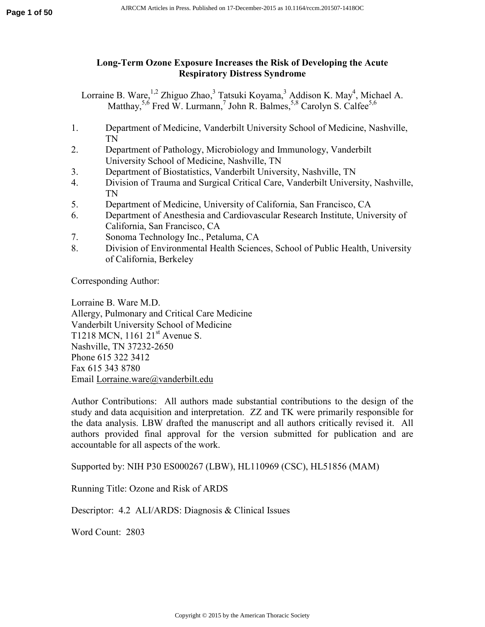# **Long-Term Ozone Exposure Increases the Risk of Developing the Acute Respiratory Distress Syndrome**

Lorraine B. Ware,  $^{1,2}$  Zhiguo Zhao,  $^3$  Tatsuki Koyama,  $^3$  Addison K. May<sup>4</sup>, Michael A. Matthay,  $5.6$  Fred W. Lurmann, John R. Balmes,  $5.8$  Carolyn S. Calfee  $5.6$ 

- 1. Department of Medicine, Vanderbilt University School of Medicine, Nashville, TN
- 2. Department of Pathology, Microbiology and Immunology, Vanderbilt University School of Medicine, Nashville, TN
- 3. Department of Biostatistics, Vanderbilt University, Nashville, TN
- 4. Division of Trauma and Surgical Critical Care, Vanderbilt University, Nashville, TN
- 5. Department of Medicine, University of California, San Francisco, CA
- 6. Department of Anesthesia and Cardiovascular Research Institute, University of California, San Francisco, CA
- 7. Sonoma Technology Inc., Petaluma, CA
- 8. Division of Environmental Health Sciences, School of Public Health, University of California, Berkeley

Corresponding Author:

Lorraine B. Ware M.D. Allergy, Pulmonary and Critical Care Medicine Vanderbilt University School of Medicine T1218 MCN,  $1161 \ 21^{st}$  Avenue S. Nashville, TN 37232-2650 Phone 615 322 3412 Fax 615 343 8780 Email Lorraine.ware@vanderbilt.edu

Author Contributions: All authors made substantial contributions to the design of the study and data acquisition and interpretation. ZZ and TK were primarily responsible for the data analysis. LBW drafted the manuscript and all authors critically revised it. All authors provided final approval for the version submitted for publication and are accountable for all aspects of the work.

Supported by: NIH P30 ES000267 (LBW), HL110969 (CSC), HL51856 (MAM)

Running Title: Ozone and Risk of ARDS

Descriptor: 4.2 ALI/ARDS: Diagnosis & Clinical Issues

Word Count: 2803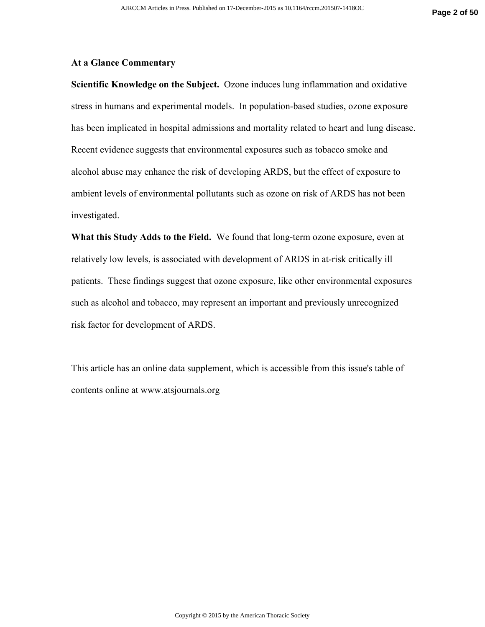#### **At a Glance Commentary**

**Scientific Knowledge on the Subject.** Ozone induces lung inflammation and oxidative stress in humans and experimental models. In population-based studies, ozone exposure has been implicated in hospital admissions and mortality related to heart and lung disease. Recent evidence suggests that environmental exposures such as tobacco smoke and alcohol abuse may enhance the risk of developing ARDS, but the effect of exposure to ambient levels of environmental pollutants such as ozone on risk of ARDS has not been investigated.

**What this Study Adds to the Field.** We found that long-term ozone exposure, even at relatively low levels, is associated with development of ARDS in at-risk critically ill patients. These findings suggest that ozone exposure, like other environmental exposures such as alcohol and tobacco, may represent an important and previously unrecognized risk factor for development of ARDS.

This article has an online data supplement, which is accessible from this issue's table of contents online at www.atsjournals.org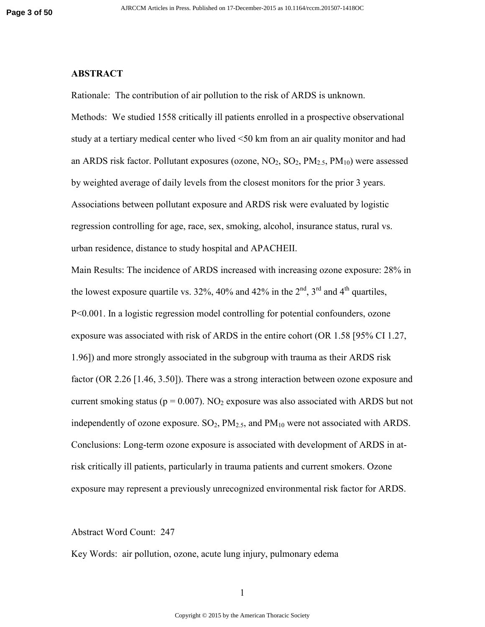### **ABSTRACT**

Rationale: The contribution of air pollution to the risk of ARDS is unknown. Methods: We studied 1558 critically ill patients enrolled in a prospective observational study at a tertiary medical center who lived <50 km from an air quality monitor and had an ARDS risk factor. Pollutant exposures (ozone,  $NO_2$ ,  $SO_2$ ,  $PM_{2.5}$ ,  $PM_{10}$ ) were assessed by weighted average of daily levels from the closest monitors for the prior 3 years. Associations between pollutant exposure and ARDS risk were evaluated by logistic regression controlling for age, race, sex, smoking, alcohol, insurance status, rural vs. urban residence, distance to study hospital and APACHEII.

Main Results: The incidence of ARDS increased with increasing ozone exposure: 28% in the lowest exposure quartile vs. 32%, 40% and 42% in the  $2<sup>nd</sup>$ , 3<sup>rd</sup> and 4<sup>th</sup> quartiles, P<0.001. In a logistic regression model controlling for potential confounders, ozone exposure was associated with risk of ARDS in the entire cohort (OR 1.58 [95% CI 1.27, 1.96]) and more strongly associated in the subgroup with trauma as their ARDS risk factor (OR 2.26 [1.46, 3.50]). There was a strong interaction between ozone exposure and current smoking status ( $p = 0.007$ ). NO<sub>2</sub> exposure was also associated with ARDS but not independently of ozone exposure.  $SO_2$ ,  $PM_{2.5}$ , and  $PM_{10}$  were not associated with ARDS. Conclusions: Long-term ozone exposure is associated with development of ARDS in atrisk critically ill patients, particularly in trauma patients and current smokers. Ozone exposure may represent a previously unrecognized environmental risk factor for ARDS.

#### Abstract Word Count: 247

Key Words: air pollution, ozone, acute lung injury, pulmonary edema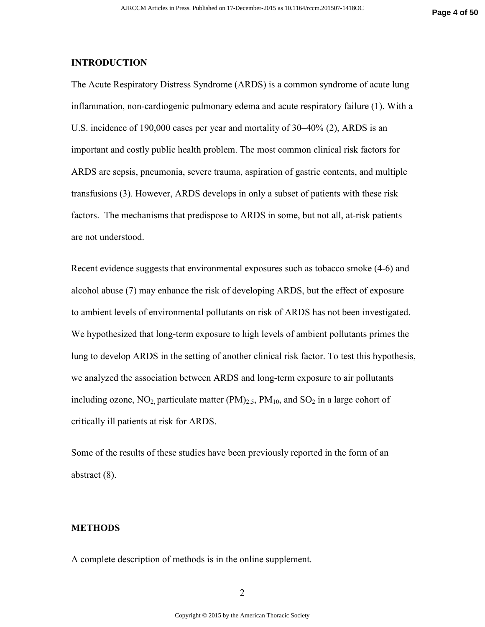### **INTRODUCTION**

The Acute Respiratory Distress Syndrome (ARDS) is a common syndrome of acute lung inflammation, non-cardiogenic pulmonary edema and acute respiratory failure (1). With a U.S. incidence of 190,000 cases per year and mortality of 30–40% (2), ARDS is an important and costly public health problem. The most common clinical risk factors for ARDS are sepsis, pneumonia, severe trauma, aspiration of gastric contents, and multiple transfusions (3). However, ARDS develops in only a subset of patients with these risk factors. The mechanisms that predispose to ARDS in some, but not all, at-risk patients are not understood.

Recent evidence suggests that environmental exposures such as tobacco smoke (4-6) and alcohol abuse (7) may enhance the risk of developing ARDS, but the effect of exposure to ambient levels of environmental pollutants on risk of ARDS has not been investigated. We hypothesized that long-term exposure to high levels of ambient pollutants primes the lung to develop ARDS in the setting of another clinical risk factor. To test this hypothesis, we analyzed the association between ARDS and long-term exposure to air pollutants including ozone,  $NO_2$  particulate matter  $(PM)_{2.5}$ ,  $PM_{10}$ , and  $SO_2$  in a large cohort of critically ill patients at risk for ARDS.

Some of the results of these studies have been previously reported in the form of an abstract (8).

#### **METHODS**

A complete description of methods is in the online supplement.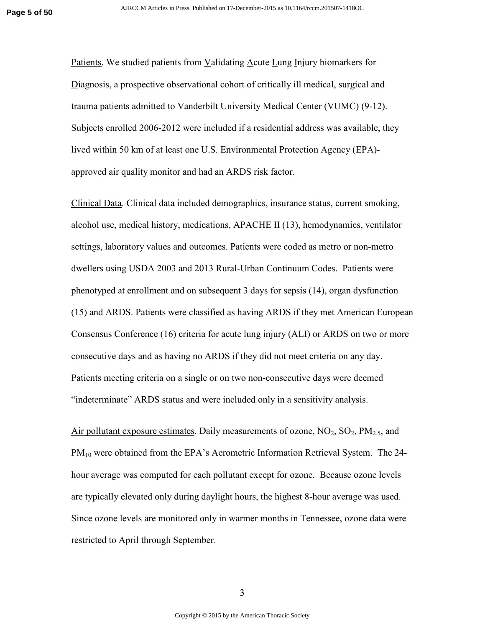Patients. We studied patients from Validating Acute Lung Injury biomarkers for Diagnosis, a prospective observational cohort of critically ill medical, surgical and trauma patients admitted to Vanderbilt University Medical Center (VUMC) (9-12). Subjects enrolled 2006-2012 were included if a residential address was available, they lived within 50 km of at least one U.S. Environmental Protection Agency (EPA) approved air quality monitor and had an ARDS risk factor.

Clinical Data. Clinical data included demographics, insurance status, current smoking, alcohol use, medical history, medications, APACHE II (13), hemodynamics, ventilator settings, laboratory values and outcomes. Patients were coded as metro or non-metro dwellers using USDA 2003 and 2013 Rural-Urban Continuum Codes. Patients were phenotyped at enrollment and on subsequent 3 days for sepsis (14), organ dysfunction (15) and ARDS. Patients were classified as having ARDS if they met American European Consensus Conference (16) criteria for acute lung injury (ALI) or ARDS on two or more consecutive days and as having no ARDS if they did not meet criteria on any day. Patients meeting criteria on a single or on two non-consecutive days were deemed "indeterminate" ARDS status and were included only in a sensitivity analysis.

Air pollutant exposure estimates. Daily measurements of ozone,  $NO_2$ ,  $SO_2$ ,  $PM_{2.5}$ , and PM<sub>10</sub> were obtained from the EPA's Aerometric Information Retrieval System. The 24hour average was computed for each pollutant except for ozone. Because ozone levels are typically elevated only during daylight hours, the highest 8-hour average was used. Since ozone levels are monitored only in warmer months in Tennessee, ozone data were restricted to April through September.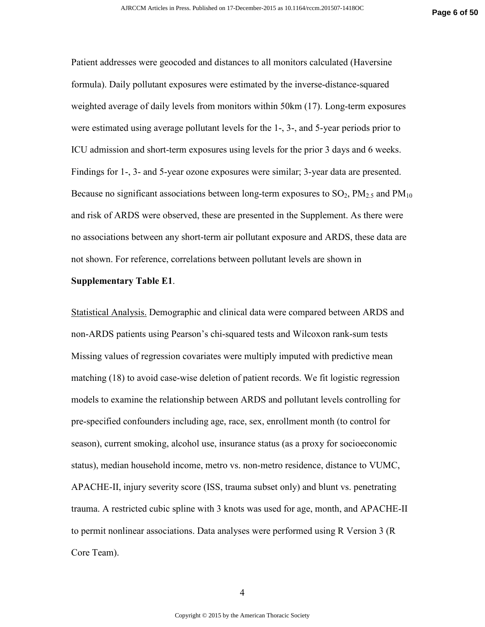Patient addresses were geocoded and distances to all monitors calculated (Haversine formula). Daily pollutant exposures were estimated by the inverse-distance-squared weighted average of daily levels from monitors within 50km (17). Long-term exposures were estimated using average pollutant levels for the 1-, 3-, and 5-year periods prior to ICU admission and short-term exposures using levels for the prior 3 days and 6 weeks. Findings for 1-, 3- and 5-year ozone exposures were similar; 3-year data are presented. Because no significant associations between long-term exposures to  $SO_2$ ,  $PM_{2.5}$  and  $PM_{10}$ and risk of ARDS were observed, these are presented in the Supplement. As there were no associations between any short-term air pollutant exposure and ARDS, these data are not shown. For reference, correlations between pollutant levels are shown in

#### **Supplementary Table E1**.

Statistical Analysis. Demographic and clinical data were compared between ARDS and non-ARDS patients using Pearson's chi-squared tests and Wilcoxon rank-sum tests Missing values of regression covariates were multiply imputed with predictive mean matching (18) to avoid case-wise deletion of patient records. We fit logistic regression models to examine the relationship between ARDS and pollutant levels controlling for pre-specified confounders including age, race, sex, enrollment month (to control for season), current smoking, alcohol use, insurance status (as a proxy for socioeconomic status), median household income, metro vs. non-metro residence, distance to VUMC, APACHE-II, injury severity score (ISS, trauma subset only) and blunt vs. penetrating trauma. A restricted cubic spline with 3 knots was used for age, month, and APACHE-II to permit nonlinear associations. Data analyses were performed using R Version 3 (R Core Team).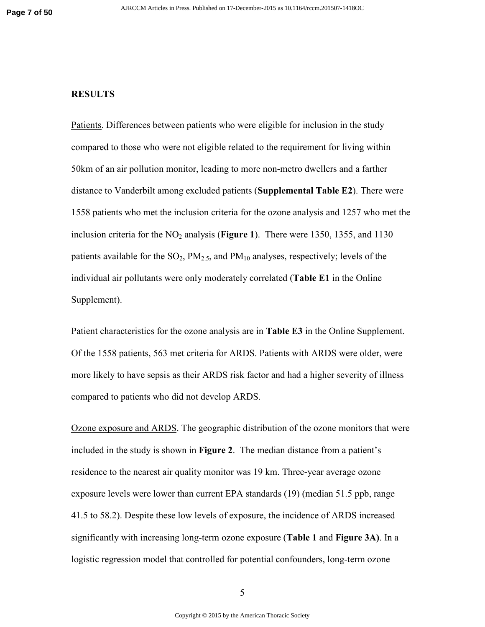#### **RESULTS**

Patients. Differences between patients who were eligible for inclusion in the study compared to those who were not eligible related to the requirement for living within 50km of an air pollution monitor, leading to more non-metro dwellers and a farther distance to Vanderbilt among excluded patients (**Supplemental Table E2**). There were 1558 patients who met the inclusion criteria for the ozone analysis and 1257 who met the inclusion criteria for the NO<sub>2</sub> analysis (**Figure 1**). There were 1350, 1355, and 1130 patients available for the  $SO_2$ ,  $PM_{2.5}$ , and  $PM_{10}$  analyses, respectively; levels of the individual air pollutants were only moderately correlated (**Table E1** in the Online Supplement).

Patient characteristics for the ozone analysis are in **Table E3** in the Online Supplement. Of the 1558 patients, 563 met criteria for ARDS. Patients with ARDS were older, were more likely to have sepsis as their ARDS risk factor and had a higher severity of illness compared to patients who did not develop ARDS.

Ozone exposure and ARDS. The geographic distribution of the ozone monitors that were included in the study is shown in **Figure 2**. The median distance from a patient's residence to the nearest air quality monitor was 19 km. Three-year average ozone exposure levels were lower than current EPA standards (19) (median 51.5 ppb, range 41.5 to 58.2). Despite these low levels of exposure, the incidence of ARDS increased significantly with increasing long-term ozone exposure (**Table 1** and **Figure 3A)**. In a logistic regression model that controlled for potential confounders, long-term ozone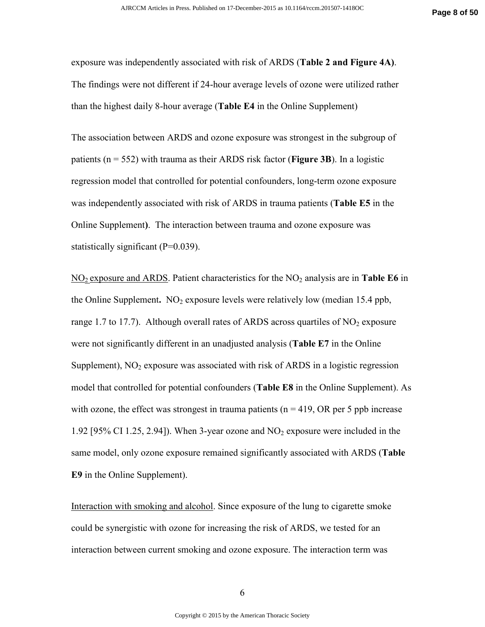exposure was independently associated with risk of ARDS (**Table 2 and Figure 4A)**. The findings were not different if 24-hour average levels of ozone were utilized rather than the highest daily 8-hour average (**Table E4** in the Online Supplement)

The association between ARDS and ozone exposure was strongest in the subgroup of patients (n = 552) with trauma as their ARDS risk factor (**Figure 3B**). In a logistic regression model that controlled for potential confounders, long-term ozone exposure was independently associated with risk of ARDS in trauma patients (**Table E5** in the Online Supplement**)**. The interaction between trauma and ozone exposure was statistically significant  $(P=0.039)$ .

NO2 exposure and ARDS. Patient characteristics for the NO2 analysis are in **Table E6** in the Online Supplement.  $NO<sub>2</sub>$  exposure levels were relatively low (median 15.4 ppb, range 1.7 to 17.7). Although overall rates of ARDS across quartiles of  $NO<sub>2</sub>$  exposure were not significantly different in an unadjusted analysis (**Table E7** in the Online Supplement),  $NO<sub>2</sub>$  exposure was associated with risk of ARDS in a logistic regression model that controlled for potential confounders (**Table E8** in the Online Supplement). As with ozone, the effect was strongest in trauma patients ( $n = 419$ , OR per 5 ppb increase 1.92 [95% CI 1.25, 2.94]). When 3-year ozone and  $NO<sub>2</sub>$  exposure were included in the same model, only ozone exposure remained significantly associated with ARDS (**Table E9** in the Online Supplement).

Interaction with smoking and alcohol. Since exposure of the lung to cigarette smoke could be synergistic with ozone for increasing the risk of ARDS, we tested for an interaction between current smoking and ozone exposure. The interaction term was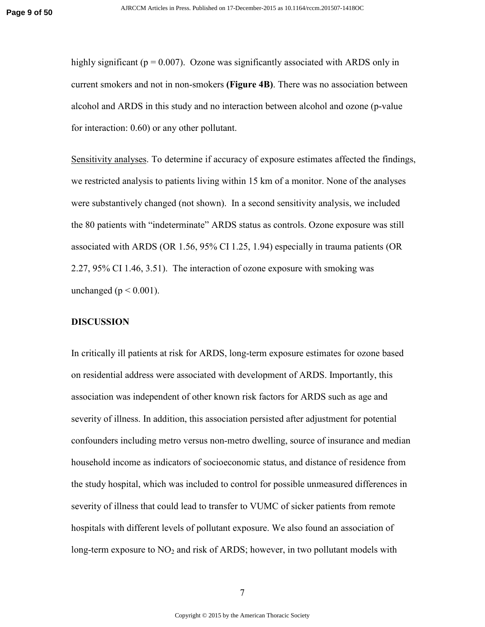highly significant ( $p = 0.007$ ). Ozone was significantly associated with ARDS only in current smokers and not in non-smokers **(Figure 4B)**. There was no association between alcohol and ARDS in this study and no interaction between alcohol and ozone (p-value for interaction: 0.60) or any other pollutant.

Sensitivity analyses. To determine if accuracy of exposure estimates affected the findings, we restricted analysis to patients living within 15 km of a monitor. None of the analyses were substantively changed (not shown). In a second sensitivity analysis, we included the 80 patients with "indeterminate" ARDS status as controls. Ozone exposure was still associated with ARDS (OR 1.56, 95% CI 1.25, 1.94) especially in trauma patients (OR 2.27, 95% CI 1.46, 3.51). The interaction of ozone exposure with smoking was unchanged ( $p < 0.001$ ).

### **DISCUSSION**

In critically ill patients at risk for ARDS, long-term exposure estimates for ozone based on residential address were associated with development of ARDS. Importantly, this association was independent of other known risk factors for ARDS such as age and severity of illness. In addition, this association persisted after adjustment for potential confounders including metro versus non-metro dwelling, source of insurance and median household income as indicators of socioeconomic status, and distance of residence from the study hospital, which was included to control for possible unmeasured differences in severity of illness that could lead to transfer to VUMC of sicker patients from remote hospitals with different levels of pollutant exposure. We also found an association of long-term exposure to  $NO<sub>2</sub>$  and risk of ARDS; however, in two pollutant models with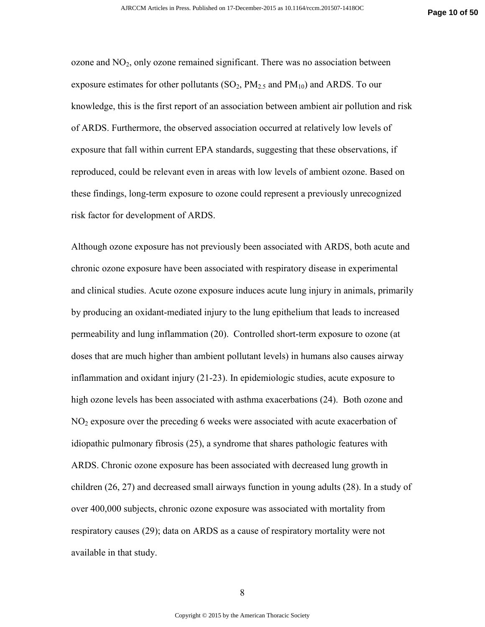ozone and  $NO<sub>2</sub>$ , only ozone remained significant. There was no association between exposure estimates for other pollutants  $(SO_2, PM_{2.5}$  and  $PM_{10}$ ) and ARDS. To our knowledge, this is the first report of an association between ambient air pollution and risk of ARDS. Furthermore, the observed association occurred at relatively low levels of exposure that fall within current EPA standards, suggesting that these observations, if reproduced, could be relevant even in areas with low levels of ambient ozone. Based on these findings, long-term exposure to ozone could represent a previously unrecognized risk factor for development of ARDS.

Although ozone exposure has not previously been associated with ARDS, both acute and chronic ozone exposure have been associated with respiratory disease in experimental and clinical studies. Acute ozone exposure induces acute lung injury in animals, primarily by producing an oxidant-mediated injury to the lung epithelium that leads to increased permeability and lung inflammation (20). Controlled short-term exposure to ozone (at doses that are much higher than ambient pollutant levels) in humans also causes airway inflammation and oxidant injury (21-23). In epidemiologic studies, acute exposure to high ozone levels has been associated with asthma exacerbations (24). Both ozone and  $NO<sub>2</sub>$  exposure over the preceding 6 weeks were associated with acute exacerbation of idiopathic pulmonary fibrosis (25), a syndrome that shares pathologic features with ARDS. Chronic ozone exposure has been associated with decreased lung growth in children (26, 27) and decreased small airways function in young adults (28). In a study of over 400,000 subjects, chronic ozone exposure was associated with mortality from respiratory causes (29); data on ARDS as a cause of respiratory mortality were not available in that study.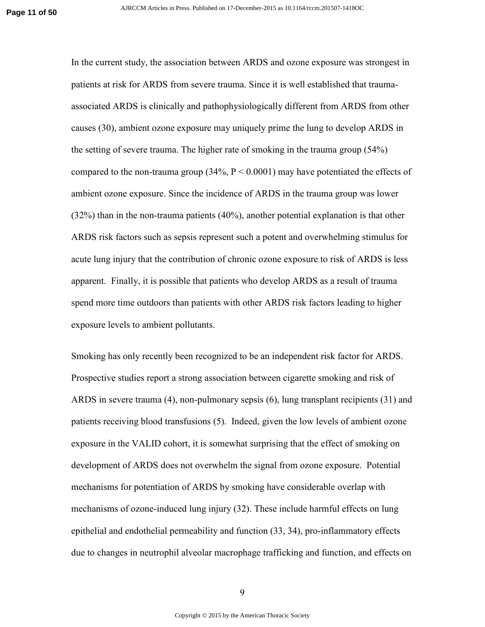In the current study, the association between ARDS and ozone exposure was strongest in patients at risk for ARDS from severe trauma. Since it is well established that traumaassociated ARDS is clinically and pathophysiologically different from ARDS from other causes (30), ambient ozone exposure may uniquely prime the lung to develop ARDS in the setting of severe trauma. The higher rate of smoking in the trauma group (54%) compared to the non-trauma group  $(34\%, P < 0.0001)$  may have potentiated the effects of ambient ozone exposure. Since the incidence of ARDS in the trauma group was lower (32%) than in the non-trauma patients (40%), another potential explanation is that other ARDS risk factors such as sepsis represent such a potent and overwhelming stimulus for acute lung injury that the contribution of chronic ozone exposure to risk of ARDS is less apparent. Finally, it is possible that patients who develop ARDS as a result of trauma spend more time outdoors than patients with other ARDS risk factors leading to higher exposure levels to ambient pollutants.

Smoking has only recently been recognized to be an independent risk factor for ARDS. Prospective studies report a strong association between cigarette smoking and risk of ARDS in severe trauma (4), non-pulmonary sepsis (6), lung transplant recipients (31) and patients receiving blood transfusions (5). Indeed, given the low levels of ambient ozone exposure in the VALID cohort, it is somewhat surprising that the effect of smoking on development of ARDS does not overwhelm the signal from ozone exposure. Potential mechanisms for potentiation of ARDS by smoking have considerable overlap with mechanisms of ozone-induced lung injury (32). These include harmful effects on lung epithelial and endothelial permeability and function (33, 34), pro-inflammatory effects due to changes in neutrophil alveolar macrophage trafficking and function, and effects on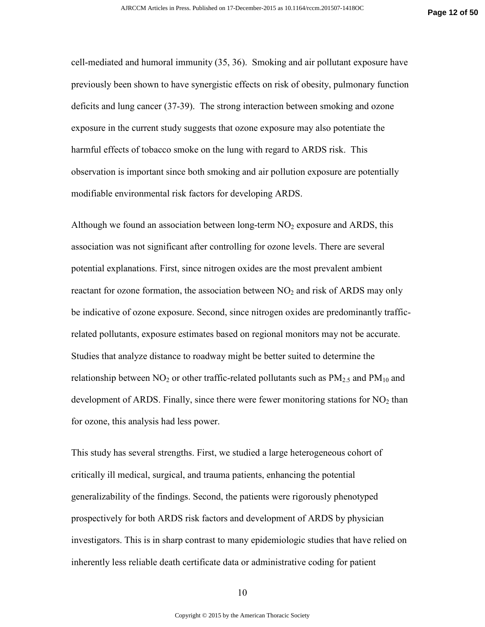cell-mediated and humoral immunity (35, 36). Smoking and air pollutant exposure have previously been shown to have synergistic effects on risk of obesity, pulmonary function deficits and lung cancer (37-39). The strong interaction between smoking and ozone exposure in the current study suggests that ozone exposure may also potentiate the harmful effects of tobacco smoke on the lung with regard to ARDS risk. This observation is important since both smoking and air pollution exposure are potentially modifiable environmental risk factors for developing ARDS.

Although we found an association between long-term  $NO<sub>2</sub>$  exposure and ARDS, this association was not significant after controlling for ozone levels. There are several potential explanations. First, since nitrogen oxides are the most prevalent ambient reactant for ozone formation, the association between  $NO<sub>2</sub>$  and risk of ARDS may only be indicative of ozone exposure. Second, since nitrogen oxides are predominantly trafficrelated pollutants, exposure estimates based on regional monitors may not be accurate. Studies that analyze distance to roadway might be better suited to determine the relationship between  $NO_2$  or other traffic-related pollutants such as  $PM_{2.5}$  and  $PM_{10}$  and development of ARDS. Finally, since there were fewer monitoring stations for  $NO<sub>2</sub>$  than for ozone, this analysis had less power.

This study has several strengths. First, we studied a large heterogeneous cohort of critically ill medical, surgical, and trauma patients, enhancing the potential generalizability of the findings. Second, the patients were rigorously phenotyped prospectively for both ARDS risk factors and development of ARDS by physician investigators. This is in sharp contrast to many epidemiologic studies that have relied on inherently less reliable death certificate data or administrative coding for patient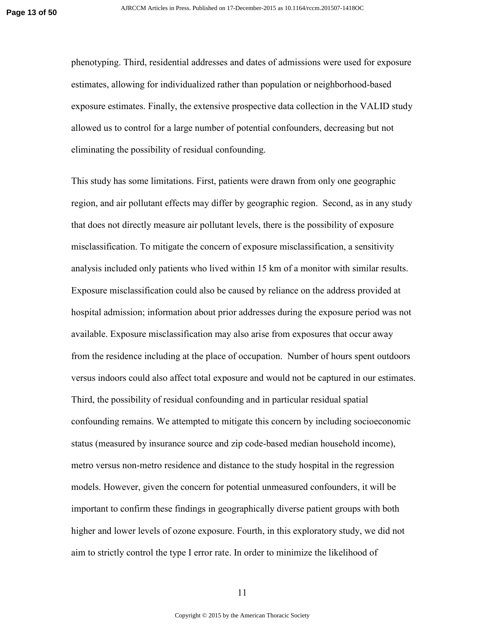phenotyping. Third, residential addresses and dates of admissions were used for exposure estimates, allowing for individualized rather than population or neighborhood-based exposure estimates. Finally, the extensive prospective data collection in the VALID study allowed us to control for a large number of potential confounders, decreasing but not eliminating the possibility of residual confounding.

This study has some limitations. First, patients were drawn from only one geographic region, and air pollutant effects may differ by geographic region. Second, as in any study that does not directly measure air pollutant levels, there is the possibility of exposure misclassification. To mitigate the concern of exposure misclassification, a sensitivity analysis included only patients who lived within 15 km of a monitor with similar results. Exposure misclassification could also be caused by reliance on the address provided at hospital admission; information about prior addresses during the exposure period was not available. Exposure misclassification may also arise from exposures that occur away from the residence including at the place of occupation. Number of hours spent outdoors versus indoors could also affect total exposure and would not be captured in our estimates. Third, the possibility of residual confounding and in particular residual spatial confounding remains. We attempted to mitigate this concern by including socioeconomic status (measured by insurance source and zip code-based median household income), metro versus non-metro residence and distance to the study hospital in the regression models. However, given the concern for potential unmeasured confounders, it will be important to confirm these findings in geographically diverse patient groups with both higher and lower levels of ozone exposure. Fourth, in this exploratory study, we did not aim to strictly control the type I error rate. In order to minimize the likelihood of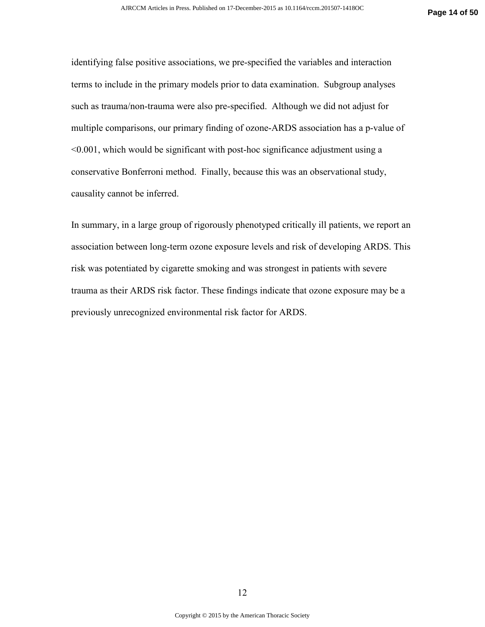identifying false positive associations, we pre-specified the variables and interaction terms to include in the primary models prior to data examination. Subgroup analyses such as trauma/non-trauma were also pre-specified. Although we did not adjust for multiple comparisons, our primary finding of ozone-ARDS association has a p-value of <0.001, which would be significant with post-hoc significance adjustment using a conservative Bonferroni method. Finally, because this was an observational study, causality cannot be inferred.

In summary, in a large group of rigorously phenotyped critically ill patients, we report an association between long-term ozone exposure levels and risk of developing ARDS. This risk was potentiated by cigarette smoking and was strongest in patients with severe trauma as their ARDS risk factor. These findings indicate that ozone exposure may be a previously unrecognized environmental risk factor for ARDS.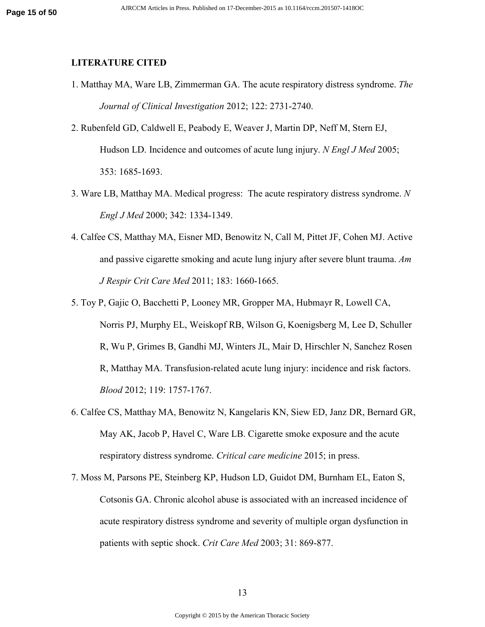### **LITERATURE CITED**

- 1. Matthay MA, Ware LB, Zimmerman GA. The acute respiratory distress syndrome. *The Journal of Clinical Investigation* 2012; 122: 2731-2740.
- 2. Rubenfeld GD, Caldwell E, Peabody E, Weaver J, Martin DP, Neff M, Stern EJ, Hudson LD. Incidence and outcomes of acute lung injury. *N Engl J Med* 2005; 353: 1685-1693.
- 3. Ware LB, Matthay MA. Medical progress: The acute respiratory distress syndrome. *N Engl J Med* 2000; 342: 1334-1349.
- 4. Calfee CS, Matthay MA, Eisner MD, Benowitz N, Call M, Pittet JF, Cohen MJ. Active and passive cigarette smoking and acute lung injury after severe blunt trauma. *Am J Respir Crit Care Med* 2011; 183: 1660-1665.
- 5. Toy P, Gajic O, Bacchetti P, Looney MR, Gropper MA, Hubmayr R, Lowell CA, Norris PJ, Murphy EL, Weiskopf RB, Wilson G, Koenigsberg M, Lee D, Schuller R, Wu P, Grimes B, Gandhi MJ, Winters JL, Mair D, Hirschler N, Sanchez Rosen R, Matthay MA. Transfusion-related acute lung injury: incidence and risk factors. *Blood* 2012; 119: 1757-1767.
- 6. Calfee CS, Matthay MA, Benowitz N, Kangelaris KN, Siew ED, Janz DR, Bernard GR, May AK, Jacob P, Havel C, Ware LB. Cigarette smoke exposure and the acute respiratory distress syndrome. *Critical care medicine* 2015; in press.
- 7. Moss M, Parsons PE, Steinberg KP, Hudson LD, Guidot DM, Burnham EL, Eaton S, Cotsonis GA. Chronic alcohol abuse is associated with an increased incidence of acute respiratory distress syndrome and severity of multiple organ dysfunction in patients with septic shock. *Crit Care Med* 2003; 31: 869-877.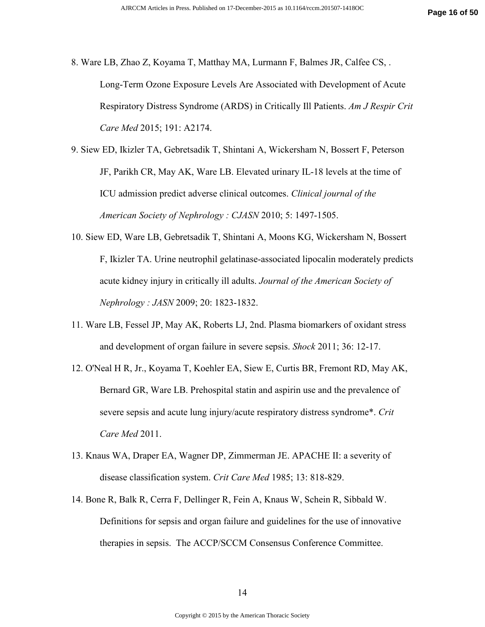8. Ware LB, Zhao Z, Koyama T, Matthay MA, Lurmann F, Balmes JR, Calfee CS, . Long-Term Ozone Exposure Levels Are Associated with Development of Acute Respiratory Distress Syndrome (ARDS) in Critically Ill Patients. *Am J Respir Crit Care Med* 2015; 191: A2174.

9. Siew ED, Ikizler TA, Gebretsadik T, Shintani A, Wickersham N, Bossert F, Peterson JF, Parikh CR, May AK, Ware LB. Elevated urinary IL-18 levels at the time of ICU admission predict adverse clinical outcomes. *Clinical journal of the American Society of Nephrology : CJASN* 2010; 5: 1497-1505.

- 10. Siew ED, Ware LB, Gebretsadik T, Shintani A, Moons KG, Wickersham N, Bossert F, Ikizler TA. Urine neutrophil gelatinase-associated lipocalin moderately predicts acute kidney injury in critically ill adults. *Journal of the American Society of Nephrology : JASN* 2009; 20: 1823-1832.
- 11. Ware LB, Fessel JP, May AK, Roberts LJ, 2nd. Plasma biomarkers of oxidant stress and development of organ failure in severe sepsis. *Shock* 2011; 36: 12-17.
- 12. O'Neal H R, Jr., Koyama T, Koehler EA, Siew E, Curtis BR, Fremont RD, May AK, Bernard GR, Ware LB. Prehospital statin and aspirin use and the prevalence of severe sepsis and acute lung injury/acute respiratory distress syndrome\*. *Crit Care Med* 2011.
- 13. Knaus WA, Draper EA, Wagner DP, Zimmerman JE. APACHE II: a severity of disease classification system. *Crit Care Med* 1985; 13: 818-829.
- 14. Bone R, Balk R, Cerra F, Dellinger R, Fein A, Knaus W, Schein R, Sibbald W. Definitions for sepsis and organ failure and guidelines for the use of innovative therapies in sepsis. The ACCP/SCCM Consensus Conference Committee.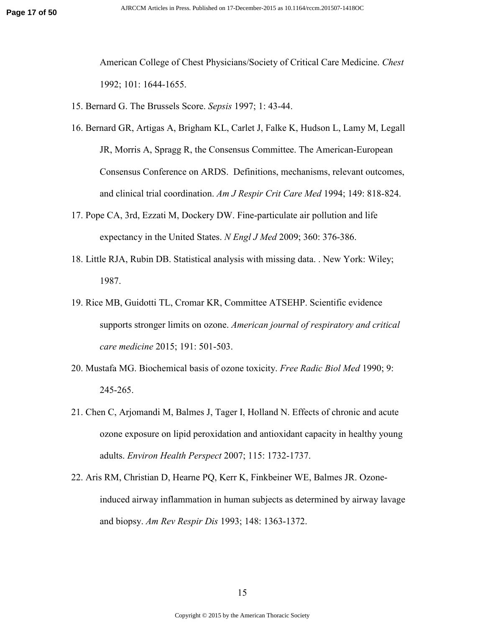American College of Chest Physicians/Society of Critical Care Medicine. *Chest*  1992; 101: 1644-1655.

15. Bernard G. The Brussels Score. *Sepsis* 1997; 1: 43-44.

- 16. Bernard GR, Artigas A, Brigham KL, Carlet J, Falke K, Hudson L, Lamy M, Legall JR, Morris A, Spragg R, the Consensus Committee. The American-European Consensus Conference on ARDS. Definitions, mechanisms, relevant outcomes, and clinical trial coordination. *Am J Respir Crit Care Med* 1994; 149: 818-824.
- 17. Pope CA, 3rd, Ezzati M, Dockery DW. Fine-particulate air pollution and life expectancy in the United States. *N Engl J Med* 2009; 360: 376-386.
- 18. Little RJA, Rubin DB. Statistical analysis with missing data. . New York: Wiley; 1987.
- 19. Rice MB, Guidotti TL, Cromar KR, Committee ATSEHP. Scientific evidence supports stronger limits on ozone. *American journal of respiratory and critical care medicine* 2015; 191: 501-503.
- 20. Mustafa MG. Biochemical basis of ozone toxicity. *Free Radic Biol Med* 1990; 9: 245-265.
- 21. Chen C, Arjomandi M, Balmes J, Tager I, Holland N. Effects of chronic and acute ozone exposure on lipid peroxidation and antioxidant capacity in healthy young adults. *Environ Health Perspect* 2007; 115: 1732-1737.
- 22. Aris RM, Christian D, Hearne PQ, Kerr K, Finkbeiner WE, Balmes JR. Ozoneinduced airway inflammation in human subjects as determined by airway lavage and biopsy. *Am Rev Respir Dis* 1993; 148: 1363-1372.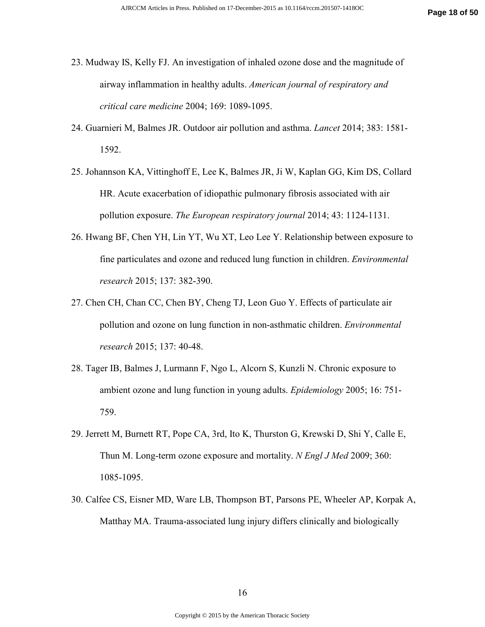- 23. Mudway IS, Kelly FJ. An investigation of inhaled ozone dose and the magnitude of airway inflammation in healthy adults. *American journal of respiratory and critical care medicine* 2004; 169: 1089-1095.
- 24. Guarnieri M, Balmes JR. Outdoor air pollution and asthma. *Lancet* 2014; 383: 1581- 1592.
- 25. Johannson KA, Vittinghoff E, Lee K, Balmes JR, Ji W, Kaplan GG, Kim DS, Collard HR. Acute exacerbation of idiopathic pulmonary fibrosis associated with air pollution exposure. *The European respiratory journal* 2014; 43: 1124-1131.
- 26. Hwang BF, Chen YH, Lin YT, Wu XT, Leo Lee Y. Relationship between exposure to fine particulates and ozone and reduced lung function in children. *Environmental research* 2015; 137: 382-390.
- 27. Chen CH, Chan CC, Chen BY, Cheng TJ, Leon Guo Y. Effects of particulate air pollution and ozone on lung function in non-asthmatic children. *Environmental research* 2015; 137: 40-48.
- 28. Tager IB, Balmes J, Lurmann F, Ngo L, Alcorn S, Kunzli N. Chronic exposure to ambient ozone and lung function in young adults. *Epidemiology* 2005; 16: 751- 759.
- 29. Jerrett M, Burnett RT, Pope CA, 3rd, Ito K, Thurston G, Krewski D, Shi Y, Calle E, Thun M. Long-term ozone exposure and mortality. *N Engl J Med* 2009; 360: 1085-1095.
- 30. Calfee CS, Eisner MD, Ware LB, Thompson BT, Parsons PE, Wheeler AP, Korpak A, Matthay MA. Trauma-associated lung injury differs clinically and biologically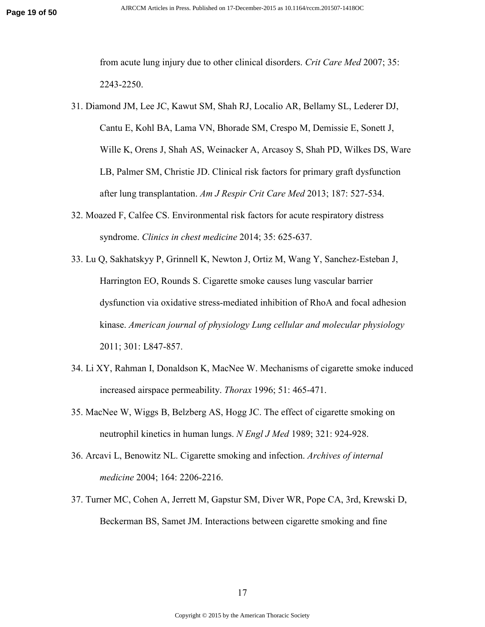from acute lung injury due to other clinical disorders. *Crit Care Med* 2007; 35: 2243-2250.

- 31. Diamond JM, Lee JC, Kawut SM, Shah RJ, Localio AR, Bellamy SL, Lederer DJ, Cantu E, Kohl BA, Lama VN, Bhorade SM, Crespo M, Demissie E, Sonett J, Wille K, Orens J, Shah AS, Weinacker A, Arcasoy S, Shah PD, Wilkes DS, Ware LB, Palmer SM, Christie JD. Clinical risk factors for primary graft dysfunction after lung transplantation. *Am J Respir Crit Care Med* 2013; 187: 527-534.
- 32. Moazed F, Calfee CS. Environmental risk factors for acute respiratory distress syndrome. *Clinics in chest medicine* 2014; 35: 625-637.
- 33. Lu Q, Sakhatskyy P, Grinnell K, Newton J, Ortiz M, Wang Y, Sanchez-Esteban J, Harrington EO, Rounds S. Cigarette smoke causes lung vascular barrier dysfunction via oxidative stress-mediated inhibition of RhoA and focal adhesion kinase. *American journal of physiology Lung cellular and molecular physiology*  2011; 301: L847-857.
- 34. Li XY, Rahman I, Donaldson K, MacNee W. Mechanisms of cigarette smoke induced increased airspace permeability. *Thorax* 1996; 51: 465-471.
- 35. MacNee W, Wiggs B, Belzberg AS, Hogg JC. The effect of cigarette smoking on neutrophil kinetics in human lungs. *N Engl J Med* 1989; 321: 924-928.
- 36. Arcavi L, Benowitz NL. Cigarette smoking and infection. *Archives of internal medicine* 2004; 164: 2206-2216.
- 37. Turner MC, Cohen A, Jerrett M, Gapstur SM, Diver WR, Pope CA, 3rd, Krewski D, Beckerman BS, Samet JM. Interactions between cigarette smoking and fine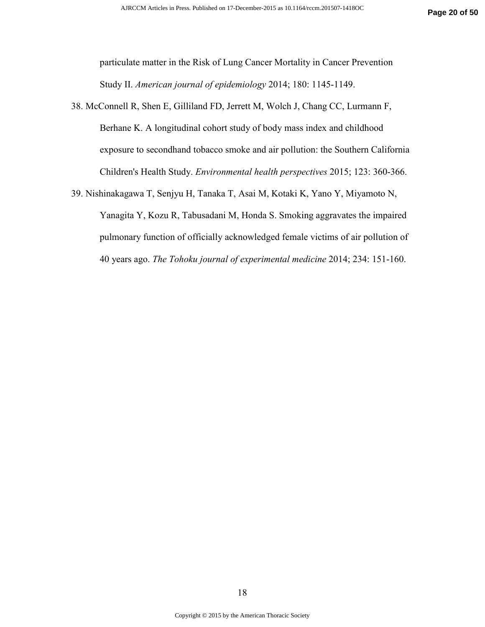particulate matter in the Risk of Lung Cancer Mortality in Cancer Prevention Study II. *American journal of epidemiology* 2014; 180: 1145-1149.

38. McConnell R, Shen E, Gilliland FD, Jerrett M, Wolch J, Chang CC, Lurmann F, Berhane K. A longitudinal cohort study of body mass index and childhood exposure to secondhand tobacco smoke and air pollution: the Southern California Children's Health Study. *Environmental health perspectives* 2015; 123: 360-366.

39. Nishinakagawa T, Senjyu H, Tanaka T, Asai M, Kotaki K, Yano Y, Miyamoto N,

Yanagita Y, Kozu R, Tabusadani M, Honda S. Smoking aggravates the impaired pulmonary function of officially acknowledged female victims of air pollution of 40 years ago. *The Tohoku journal of experimental medicine* 2014; 234: 151-160.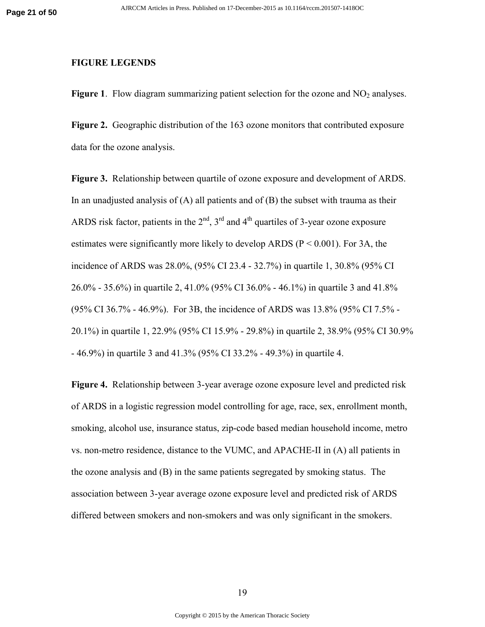#### **FIGURE LEGENDS**

**Figure 1.** Flow diagram summarizing patient selection for the ozone and  $NO<sub>2</sub>$  analyses.

**Figure 2.** Geographic distribution of the 163 ozone monitors that contributed exposure data for the ozone analysis.

**Figure 3.** Relationship between quartile of ozone exposure and development of ARDS. In an unadjusted analysis of  $(A)$  all patients and of  $(B)$  the subset with trauma as their ARDS risk factor, patients in the  $2<sup>nd</sup>$ ,  $3<sup>rd</sup>$  and  $4<sup>th</sup>$  quartiles of 3-year ozone exposure estimates were significantly more likely to develop ARDS ( $P < 0.001$ ). For 3A, the incidence of ARDS was 28.0%, (95% CI 23.4 - 32.7%) in quartile 1, 30.8% (95% CI 26.0% - 35.6%) in quartile 2, 41.0% (95% CI 36.0% - 46.1%) in quartile 3 and 41.8% (95% CI 36.7% - 46.9%). For 3B, the incidence of ARDS was 13.8% (95% CI 7.5% - 20.1%) in quartile 1, 22.9% (95% CI 15.9% - 29.8%) in quartile 2, 38.9% (95% CI 30.9% - 46.9%) in quartile 3 and 41.3% (95% CI 33.2% - 49.3%) in quartile 4.

**Figure 4.** Relationship between 3-year average ozone exposure level and predicted risk of ARDS in a logistic regression model controlling for age, race, sex, enrollment month, smoking, alcohol use, insurance status, zip-code based median household income, metro vs. non-metro residence, distance to the VUMC, and APACHE-II in (A) all patients in the ozone analysis and (B) in the same patients segregated by smoking status. The association between 3-year average ozone exposure level and predicted risk of ARDS differed between smokers and non-smokers and was only significant in the smokers.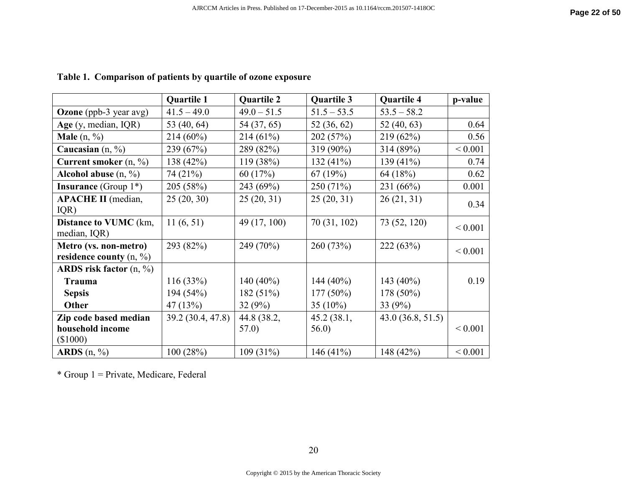|                                                              | <b>Quartile 1</b> | <b>Quartile 2</b> | <b>Quartile 3</b> | <b>Quartile 4</b> | p-value     |
|--------------------------------------------------------------|-------------------|-------------------|-------------------|-------------------|-------------|
| <b>Ozone</b> (ppb-3 year avg)                                | $41.5 - 49.0$     | $49.0 - 51.5$     | $51.5 - 53.5$     | $53.5 - 58.2$     |             |
| Age $(y, \text{median}, \text{IQR})$                         | 53 (40, 64)       | 54 (37, 65)       | 52 (36, 62)       | 52(40, 63)        | 0.64        |
| <b>Male</b> $(n, \frac{9}{6})$                               | $214(60\%)$       | 214(61%)          | 202 (57%)         | 219(62%)          | 0.56        |
| Caucasian $(n, \frac{9}{6})$                                 | 239 (67%)         | 289 (82%)         | 319 (90%)         | 314 (89%)         | ${}< 0.001$ |
| Current smoker $(n, \frac{9}{6})$                            | 138 (42%)         | 119(38%)          | 132 $(41\%)$      | 139 $(41\%)$      | 0.74        |
| Alcohol abuse $(n, %)$                                       | 74 (21%)          | 60(17%)           | 67(19%)           | 64 (18%)          | 0.62        |
| <b>Insurance</b> (Group $1^*$ )                              | 205 (58%)         | 243 (69%)         | 250 (71%)         | 231 (66%)         | 0.001       |
| <b>APACHE II</b> (median,<br>IQR)                            | 25(20, 30)        | 25(20, 31)        | 25(20, 31)        | 26(21, 31)        | 0.34        |
| Distance to VUMC (km,<br>median, IQR)                        | 11(6, 51)         | 49 (17, 100)      | 70 (31, 102)      | 73 (52, 120)      | ${}< 0.001$ |
| Metro (vs. non-metro)<br>residence county $(n, \frac{9}{6})$ | 293 (82%)         | 249 (70%)         | 260(73%)          | 222(63%)          | ${}< 0.001$ |
| ARDS risk factor $(n, \frac{9}{6})$                          |                   |                   |                   |                   |             |
| <b>Trauma</b>                                                | 116(33%)          | 140 $(40\%)$      | 144 $(40\%)$      | 143 $(40\%)$      | 0.19        |
| <b>Sepsis</b>                                                | 194 (54%)         | 182(51%)          | $177(50\%)$       | 178 (50%)         |             |
| Other                                                        | 47 $(13%)$        | 32(9%)            | 35 $(10\%)$       | 33(9%)            |             |
| Zip code based median                                        | 39.2 (30.4, 47.8) | 44.8 (38.2,       | 45.2(38.1,        | 43.0(36.8, 51.5)  |             |
| household income                                             |                   | 57.0)             | 56.0)             |                   | ${}< 0.001$ |
| $(\$1000)$                                                   |                   |                   |                   |                   |             |
| ARDS $(n, %)$                                                | 100(28%)          | $109(31\%)$       | 146 $(41\%)$      | 148 $(42%)$       | ${}< 0.001$ |

**Table 1. Comparison of patients by quartile of ozone exposure** 

\* Group 1 = Private, Medicare, Federal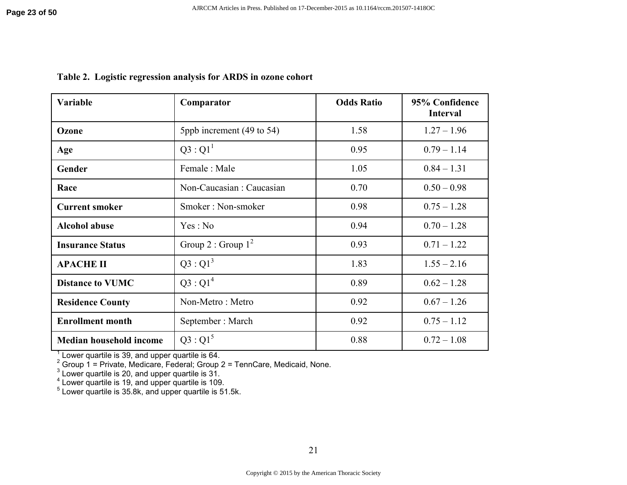| Variable                | Comparator                | <b>Odds Ratio</b> | 95% Confidence<br><b>Interval</b> |
|-------------------------|---------------------------|-------------------|-----------------------------------|
| Ozone                   | 5ppb increment (49 to 54) | 1.58              | $1.27 - 1.96$                     |
| Age                     | $Q3:Q1^1$                 | 0.95              | $0.79 - 1.14$                     |
| Gender                  | Female: Male              | 1.05              | $0.84 - 1.31$                     |
| Race                    | Non-Caucasian: Caucasian  | 0.70              | $0.50 - 0.98$                     |
| <b>Current smoker</b>   | Smoker: Non-smoker        | 0.98              | $0.75 - 1.28$                     |
| <b>Alcohol abuse</b>    | Yes: No                   | 0.94              | $0.70 - 1.28$                     |
| <b>Insurance Status</b> | Group 2 : Group $1^2$     | 0.93              | $0.71 - 1.22$                     |
| <b>APACHE II</b>        | $Q3:Q1^3$                 | 1.83              | $1.55 - 2.16$                     |
| <b>Distance to VUMC</b> | $Q3:Q1^4$                 | 0.89              | $0.62 - 1.28$                     |
| <b>Residence County</b> | Non-Metro: Metro          | 0.92              | $0.67 - 1.26$                     |
| <b>Enrollment month</b> | September: March          | 0.92              | $0.75 - 1.12$                     |
| Median household income | $Q3:Q1^5$                 | 0.88              | $0.72 - 1.08$                     |

**Table 2. Logistic regression analysis for ARDS in ozone cohort**

<sup>1</sup> Lower quartile is 39, and upper quartile is 64.<br>
<sup>2</sup> Group 1 = Private, Medicare, Federal; Group 2 = TennCare, Medicaid, None.<br>
<sup>3</sup> Lower quartile is 20, and upper quartile is 31.<br>
<sup>4</sup> Lower quartile is 19, and upper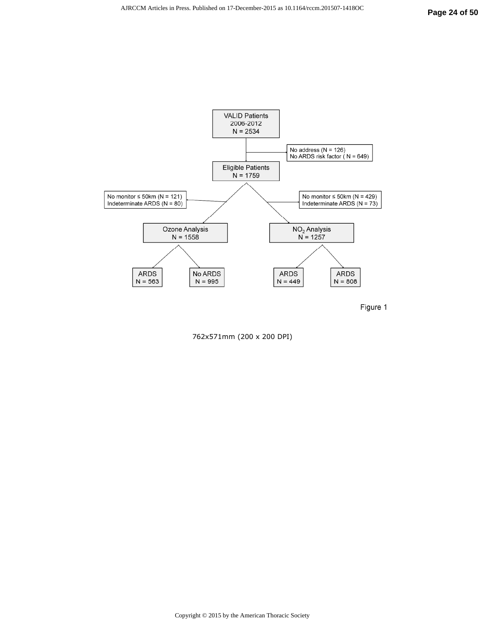



762x571mm (200 x 200 DPI)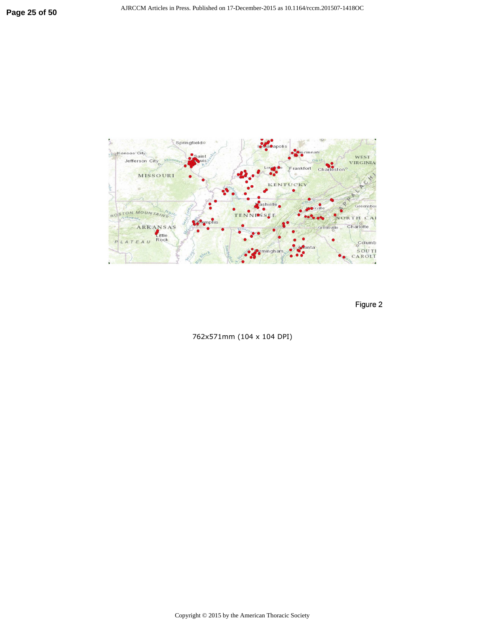

Figure 2

762x571mm (104 x 104 DPI)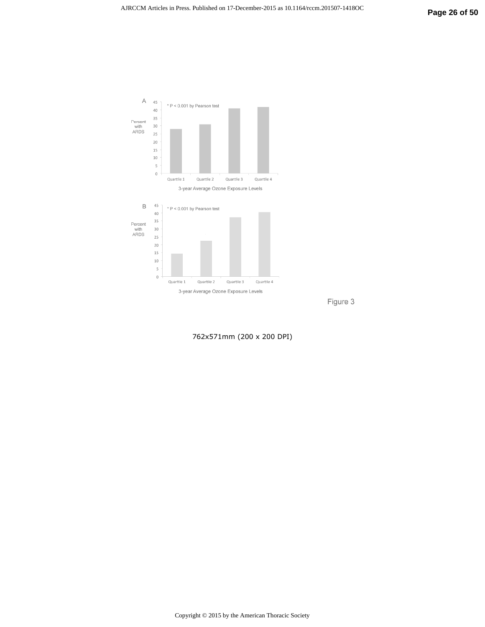

Figure 3

762x571mm (200 x 200 DPI)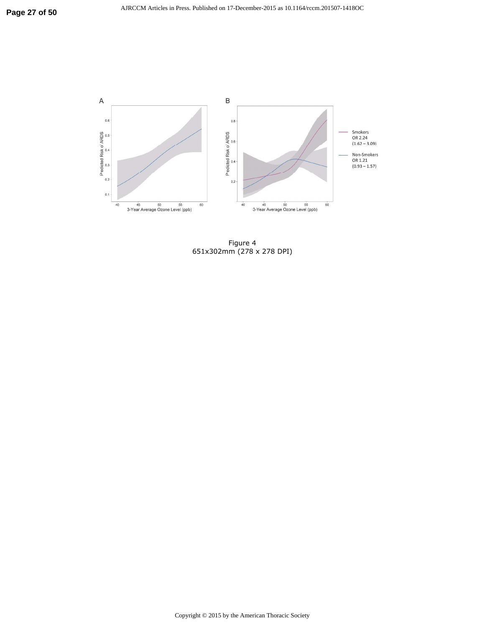

Figure 4 651x302mm (278 x 278 DPI)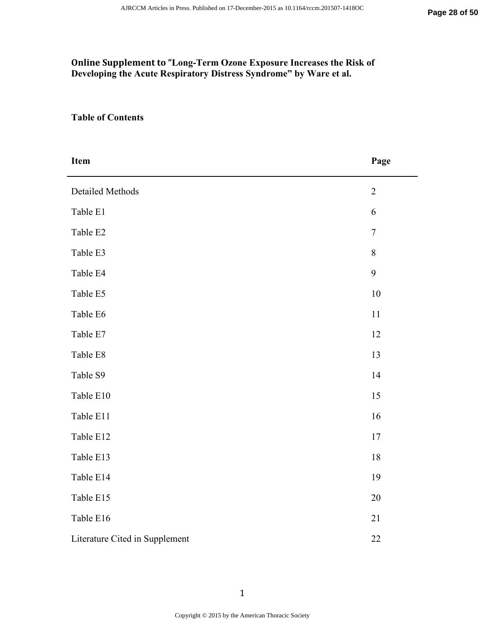# **Online Supplement to "Long-Term Ozone Exposure Increases the Risk of Developing the Acute Respiratory Distress Syndrome" by Ware et al.**

# **Table of Contents**

| <b>Item</b>                    | Page           |
|--------------------------------|----------------|
| <b>Detailed Methods</b>        | $\overline{2}$ |
| Table E1                       | 6              |
| Table E2                       | $\overline{7}$ |
| Table E3                       | 8              |
| Table E4                       | 9              |
| Table E5                       | 10             |
| Table E6                       | 11             |
| Table E7                       | 12             |
| Table E8                       | 13             |
| Table S9                       | 14             |
| Table E10                      | 15             |
| Table E11                      | 16             |
| Table E12                      | $17$           |
| Table E13                      | 18             |
| Table E14                      | 19             |
| Table E15                      | 20             |
| Table E16                      | 21             |
| Literature Cited in Supplement | 22             |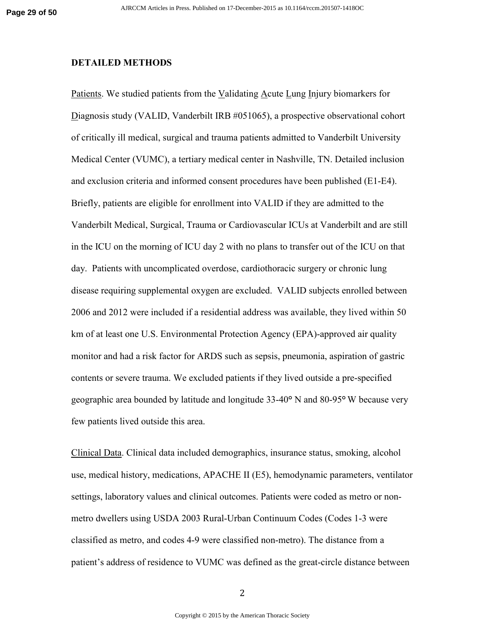### **DETAILED METHODS**

Patients. We studied patients from the Validating Acute Lung Injury biomarkers for Diagnosis study (VALID, Vanderbilt IRB #051065), a prospective observational cohort of critically ill medical, surgical and trauma patients admitted to Vanderbilt University Medical Center (VUMC), a tertiary medical center in Nashville, TN. Detailed inclusion and exclusion criteria and informed consent procedures have been published (E1-E4). Briefly, patients are eligible for enrollment into VALID if they are admitted to the Vanderbilt Medical, Surgical, Trauma or Cardiovascular ICUs at Vanderbilt and are still in the ICU on the morning of ICU day 2 with no plans to transfer out of the ICU on that day. Patients with uncomplicated overdose, cardiothoracic surgery or chronic lung disease requiring supplemental oxygen are excluded. VALID subjects enrolled between 2006 and 2012 were included if a residential address was available, they lived within 50 km of at least one U.S. Environmental Protection Agency (EPA)-approved air quality monitor and had a risk factor for ARDS such as sepsis, pneumonia, aspiration of gastric contents or severe trauma. We excluded patients if they lived outside a pre-specified geographic area bounded by latitude and longitude 33-40**°** N and 80-95**°** W because very few patients lived outside this area.

Clinical Data. Clinical data included demographics, insurance status, smoking, alcohol use, medical history, medications, APACHE II (E5), hemodynamic parameters, ventilator settings, laboratory values and clinical outcomes. Patients were coded as metro or nonmetro dwellers using USDA 2003 Rural-Urban Continuum Codes (Codes 1-3 were classified as metro, and codes 4-9 were classified non-metro). The distance from a patient's address of residence to VUMC was defined as the great-circle distance between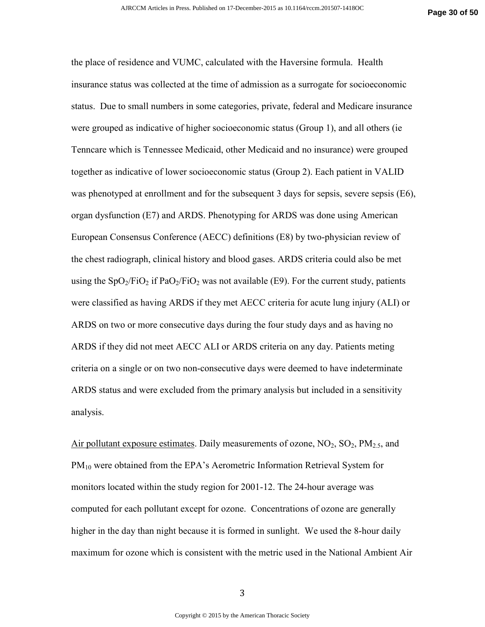the place of residence and VUMC, calculated with the Haversine formula. Health insurance status was collected at the time of admission as a surrogate for socioeconomic status. Due to small numbers in some categories, private, federal and Medicare insurance were grouped as indicative of higher socioeconomic status (Group 1), and all others (ie Tenncare which is Tennessee Medicaid, other Medicaid and no insurance) were grouped together as indicative of lower socioeconomic status (Group 2). Each patient in VALID was phenotyped at enrollment and for the subsequent 3 days for sepsis, severe sepsis (E6), organ dysfunction (E7) and ARDS. Phenotyping for ARDS was done using American European Consensus Conference (AECC) definitions (E8) by two-physician review of the chest radiograph, clinical history and blood gases. ARDS criteria could also be met using the  $SpO_2/FiO_2$  if  $PaO_2/FiO_2$  was not available (E9). For the current study, patients were classified as having ARDS if they met AECC criteria for acute lung injury (ALI) or ARDS on two or more consecutive days during the four study days and as having no ARDS if they did not meet AECC ALI or ARDS criteria on any day. Patients meting criteria on a single or on two non-consecutive days were deemed to have indeterminate ARDS status and were excluded from the primary analysis but included in a sensitivity analysis.

Air pollutant exposure estimates. Daily measurements of ozone,  $NO_2$ ,  $SO_2$ ,  $PM_{2.5}$ , and PM<sub>10</sub> were obtained from the EPA's Aerometric Information Retrieval System for monitors located within the study region for 2001-12. The 24-hour average was computed for each pollutant except for ozone. Concentrations of ozone are generally higher in the day than night because it is formed in sunlight. We used the 8-hour daily maximum for ozone which is consistent with the metric used in the National Ambient Air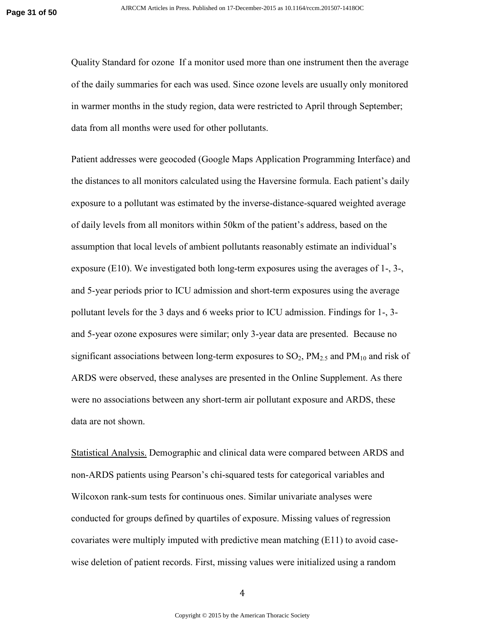Quality Standard for ozone If a monitor used more than one instrument then the average of the daily summaries for each was used. Since ozone levels are usually only monitored in warmer months in the study region, data were restricted to April through September; data from all months were used for other pollutants.

Patient addresses were geocoded (Google Maps Application Programming Interface) and the distances to all monitors calculated using the Haversine formula. Each patient's daily exposure to a pollutant was estimated by the inverse-distance-squared weighted average of daily levels from all monitors within 50km of the patient's address, based on the assumption that local levels of ambient pollutants reasonably estimate an individual's exposure (E10). We investigated both long-term exposures using the averages of 1-, 3-, and 5-year periods prior to ICU admission and short-term exposures using the average pollutant levels for the 3 days and 6 weeks prior to ICU admission. Findings for 1-, 3 and 5-year ozone exposures were similar; only 3-year data are presented. Because no significant associations between long-term exposures to  $SO_2$ ,  $PM_{2.5}$  and  $PM_{10}$  and risk of ARDS were observed, these analyses are presented in the Online Supplement. As there were no associations between any short-term air pollutant exposure and ARDS, these data are not shown.

Statistical Analysis. Demographic and clinical data were compared between ARDS and non-ARDS patients using Pearson's chi-squared tests for categorical variables and Wilcoxon rank-sum tests for continuous ones. Similar univariate analyses were conducted for groups defined by quartiles of exposure. Missing values of regression covariates were multiply imputed with predictive mean matching (E11) to avoid casewise deletion of patient records. First, missing values were initialized using a random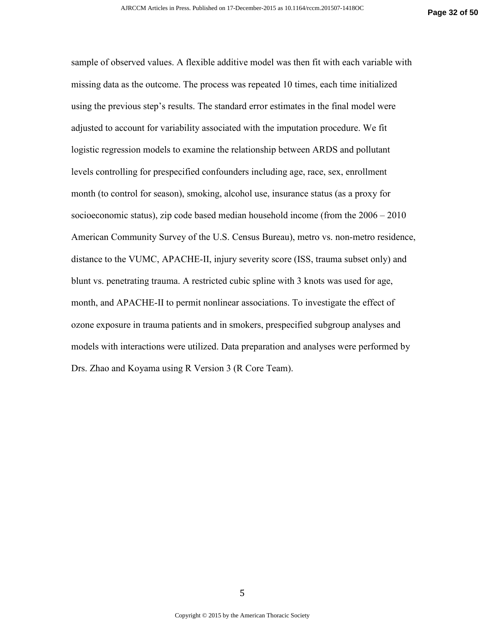sample of observed values. A flexible additive model was then fit with each variable with missing data as the outcome. The process was repeated 10 times, each time initialized using the previous step's results. The standard error estimates in the final model were adjusted to account for variability associated with the imputation procedure. We fit logistic regression models to examine the relationship between ARDS and pollutant levels controlling for prespecified confounders including age, race, sex, enrollment month (to control for season), smoking, alcohol use, insurance status (as a proxy for socioeconomic status), zip code based median household income (from the 2006 – 2010 American Community Survey of the U.S. Census Bureau), metro vs. non-metro residence, distance to the VUMC, APACHE-II, injury severity score (ISS, trauma subset only) and blunt vs. penetrating trauma. A restricted cubic spline with 3 knots was used for age, month, and APACHE-II to permit nonlinear associations. To investigate the effect of ozone exposure in trauma patients and in smokers, prespecified subgroup analyses and models with interactions were utilized. Data preparation and analyses were performed by Drs. Zhao and Koyama using R Version 3 (R Core Team).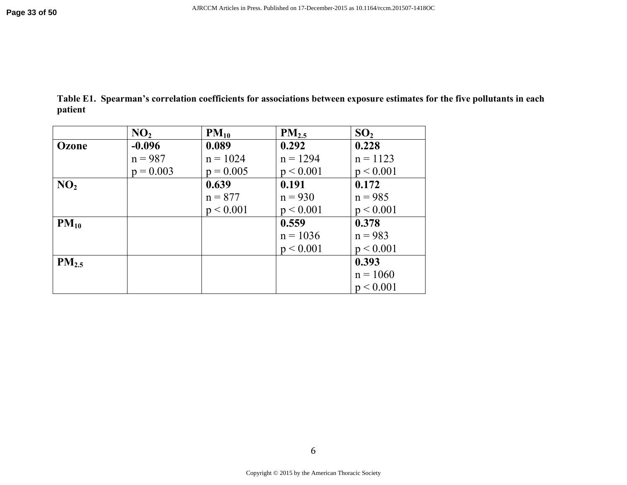|         | Table E1. Spearman's correlation coefficients for associations between exposure estimates for the five pollutants in each |  |  |
|---------|---------------------------------------------------------------------------------------------------------------------------|--|--|
| patient |                                                                                                                           |  |  |

|                 | NO <sub>2</sub> | $PM_{10}$   | PM <sub>2.5</sub> | SO <sub>2</sub> |
|-----------------|-----------------|-------------|-------------------|-----------------|
| Ozone           | $-0.096$        | 0.089       | 0.292             | 0.228           |
|                 | $n = 987$       | $n = 1024$  | $n = 1294$        | $n = 1123$      |
|                 | $p = 0.003$     | $p = 0.005$ | p < 0.001         | p < 0.001       |
| NO <sub>2</sub> |                 | 0.639       | 0.191             | 0.172           |
|                 |                 | $n = 877$   | $n = 930$         | $n = 985$       |
|                 |                 | p < 0.001   | p < 0.001         | p < 0.001       |
| $PM_{10}$       |                 |             | 0.559             | 0.378           |
|                 |                 |             | $n = 1036$        | $n = 983$       |
|                 |                 |             | p < 0.001         | p < 0.001       |
| $PM_{2.5}$      |                 |             |                   | 0.393           |
|                 |                 |             |                   | $n = 1060$      |
|                 |                 |             |                   | p < 0.001       |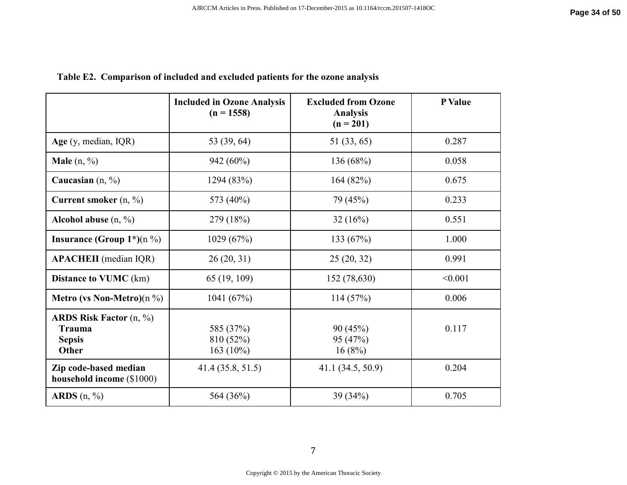|                                                                                              | <b>Included in Ozone Analysis</b><br>$(n = 1558)$ | <b>Excluded from Ozone</b><br><b>Analysis</b><br>$(n = 201)$ | P Value |
|----------------------------------------------------------------------------------------------|---------------------------------------------------|--------------------------------------------------------------|---------|
| Age (y, median, IQR)                                                                         | 53 (39, 64)                                       | 51 (33, 65)                                                  | 0.287   |
| <b>Male</b> $(n, \frac{9}{6})$                                                               | 942 (60%)                                         | 136 (68%)                                                    | 0.058   |
| Caucasian $(n, \frac{9}{6})$                                                                 | 1294 (83%)                                        | 164(82%)                                                     | 0.675   |
| Current smoker $(n, %)$                                                                      | 573 (40%)                                         | 79 (45%)                                                     | 0.233   |
| Alcohol abuse $(n, %)$                                                                       | 279 (18%)                                         | 32(16%)                                                      | 0.551   |
| Insurance (Group $1^*(n \%)$                                                                 | 1029 (67%)                                        | 133 (67%)                                                    | 1.000   |
| <b>APACHEII</b> (median IQR)                                                                 | 26(20, 31)                                        | 25(20, 32)                                                   | 0.991   |
| <b>Distance to VUMC</b> (km)                                                                 | 65 (19, 109)                                      | 152 (78,630)                                                 | < 0.001 |
| <b>Metro</b> (vs Non-Metro)(n $\%$ )                                                         | 1041 (67%)                                        | 114(57%)                                                     | 0.006   |
| <b>ARDS Risk Factor</b> $(n, \frac{9}{6})$<br><b>Trauma</b><br><b>Sepsis</b><br><b>Other</b> | 585 (37%)<br>810 (52%)<br>163 $(10\%)$            | 90(45%)<br>95 (47%)<br>16(8%)                                | 0.117   |
| Zip code-based median<br>household income (\$1000)                                           | 41.4(35.8, 51.5)                                  | 41.1 (34.5, 50.9)                                            | 0.204   |
| ARDS $(n, %)$                                                                                | 564 (36%)                                         | 39 (34%)                                                     | 0.705   |

# **Table E2. Comparison of included and excluded patients for the ozone analysis**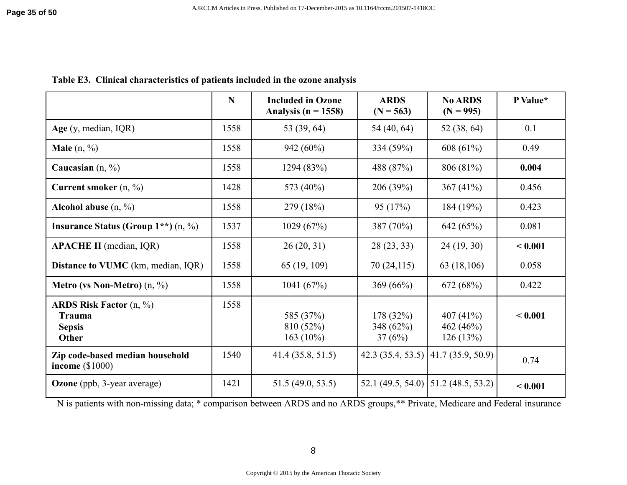|  |  | Table E3. Clinical characteristics of patients included in the ozone analysis |  |
|--|--|-------------------------------------------------------------------------------|--|
|--|--|-------------------------------------------------------------------------------|--|

|                                                                             | $\mathbf N$ | <b>Included in Ozone</b><br>Analysis ( $n = 1558$ ) | <b>ARDS</b><br>$(N = 563)$      | <b>No ARDS</b><br>$(N = 995)$               | P Value* |
|-----------------------------------------------------------------------------|-------------|-----------------------------------------------------|---------------------------------|---------------------------------------------|----------|
| Age $(y, \text{median}, \text{IQR})$                                        | 1558        | 53 (39, 64)                                         | 54 (40, 64)                     | 52 (38, 64)                                 | 0.1      |
| <b>Male</b> $(n, \frac{9}{6})$                                              | 1558        | 942 (60%)                                           | 334 (59%)                       | 608 $(61\%)$                                | 0.49     |
| Caucasian $(n, \frac{9}{6})$                                                | 1558        | 1294 (83%)                                          | 488 (87%)                       | 806 (81%)                                   | 0.004    |
| Current smoker $(n, %)$                                                     | 1428        | 573 (40%)                                           | 206 (39%)                       | 367 $(41\%)$                                | 0.456    |
| Alcohol abuse $(n, %)$                                                      | 1558        | 279 (18%)                                           | 95(17%)                         | 184 (19%)                                   | 0.423    |
| Insurance Status (Group $1**$ ) (n, %)                                      | 1537        | 1029(67%)                                           | 387 (70%)                       | 642 (65%)                                   | 0.081    |
| <b>APACHE II</b> (median, IQR)                                              | 1558        | 26(20, 31)                                          | 28(23, 33)                      | 24(19, 30)                                  | < 0.001  |
| <b>Distance to VUMC</b> (km, median, IQR)                                   | 1558        | 65 (19, 109)                                        | 70(24,115)                      | 63 (18,106)                                 | 0.058    |
| <b>Metro (vs Non-Metro)</b> $(n, %)$                                        | 1558        | 1041 $(67%)$                                        | 369(66%)                        | 672 (68%)                                   | 0.422    |
| <b>ARDS Risk Factor</b> $(n, %)$<br><b>Trauma</b><br><b>Sepsis</b><br>Other | 1558        | 585 (37%)<br>810 (52%)<br>$163(10\%)$               | 178(32%)<br>348 (62%)<br>37(6%) | 407 $(41\%)$<br>462 $(46%)$<br>126(13%)     | < 0.001  |
| Zip code-based median household<br>income $(\$1000)$                        | 1540        | 41.4(35.8, 51.5)                                    |                                 | 42.3 (35.4, 53.5) $\vert$ 41.7 (35.9, 50.9) | 0.74     |
| <b>Ozone</b> (ppb, 3-year average)                                          | 1421        | 51.5(49.0, 53.5)                                    |                                 | 52.1 (49.5, 54.0)   51.2 (48.5, 53.2)       | < 0.001  |

N is patients with non-missing data; \* comparison between ARDS and no ARDS groups,\*\* Private, Medicare and Federal insurance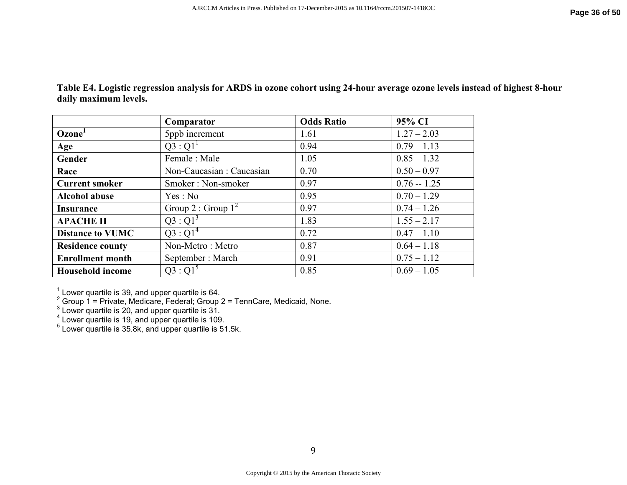| Table E4. Logistic regression analysis for ARDS in ozone cohort using 24-hour average ozone levels instead of highest 8-hour |
|------------------------------------------------------------------------------------------------------------------------------|
| daily maximum levels.                                                                                                        |
|                                                                                                                              |

|                         | Comparator                | <b>Odds Ratio</b> | 95% CI        |
|-------------------------|---------------------------|-------------------|---------------|
| Ozone <sup>1</sup>      | 5ppb increment            | 1.61              | $1.27 - 2.03$ |
| Age                     | $Q3:Q1^1$                 | 0.94              | $0.79 - 1.13$ |
| Gender                  | Female: Male              | 1.05              | $0.85 - 1.32$ |
| Race                    | Non-Caucasian : Caucasian | 0.70              | $0.50 - 0.97$ |
| <b>Current smoker</b>   | Smoker: Non-smoker        | 0.97              | $0.76 - 1.25$ |
| <b>Alcohol abuse</b>    | Yes : No                  | 0.95              | $0.70 - 1.29$ |
| <b>Insurance</b>        | Group 2 : Group $1^2$     | 0.97              | $0.74 - 1.26$ |
| <b>APACHE II</b>        | $Q3:Q1^3$                 | 1.83              | $1.55 - 2.17$ |
| <b>Distance to VUMC</b> | $Q3:Q1^4$                 | 0.72              | $0.47 - 1.10$ |
| <b>Residence county</b> | Non-Metro: Metro          | 0.87              | $0.64 - 1.18$ |
| <b>Enrollment month</b> | September: March          | 0.91              | $0.75 - 1.12$ |
| <b>Household income</b> | $Q3:Q1^5$                 | 0.85              | $0.69 - 1.05$ |

<sup>1</sup> Lower quartile is 39, and upper quartile is 64.<br>
<sup>2</sup> Group 1 = Private, Medicare, Federal; Group 2 = TennCare, Medicaid, None.<br>
<sup>3</sup> Lower quartile is 20, and upper quartile is 31.<br>
<sup>4</sup> Lower quartile is 19, and upper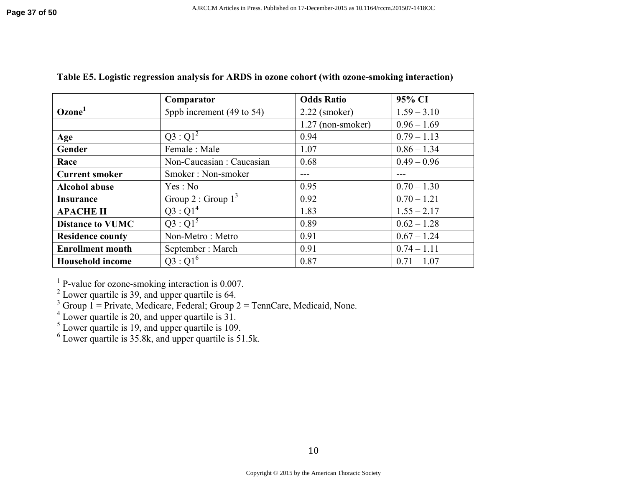|                         | Comparator                | <b>Odds Ratio</b> | 95% CI        |
|-------------------------|---------------------------|-------------------|---------------|
| Ozone <sup>1</sup>      | 5ppb increment (49 to 54) | $2.22$ (smoker)   | $1.59 - 3.10$ |
|                         |                           | 1.27 (non-smoker) | $0.96 - 1.69$ |
| Age                     | $Q3:Q1^2$                 | 0.94              | $0.79 - 1.13$ |
| Gender                  | Female: Male              | 1.07              | $0.86 - 1.34$ |
| Race                    | Non-Caucasian : Caucasian | 0.68              | $0.49 - 0.96$ |
| <b>Current smoker</b>   | Smoker: Non-smoker        | ---               |               |
| <b>Alcohol abuse</b>    | Yes: No                   | 0.95              | $0.70 - 1.30$ |
| <b>Insurance</b>        | Group 2 : Group $1^3$     | 0.92              | $0.70 - 1.21$ |
| <b>APACHE II</b>        | $Q3:Q1^4$                 | 1.83              | $1.55 - 2.17$ |
| <b>Distance to VUMC</b> | $Q3:Q1^5$                 | 0.89              | $0.62 - 1.28$ |
| <b>Residence county</b> | Non-Metro: Metro          | 0.91              | $0.67 - 1.24$ |
| <b>Enrollment month</b> | September: March          | 0.91              | $0.74 - 1.11$ |
| <b>Household income</b> | $Q3:Q1^6$                 | 0.87              | $0.71 - 1.07$ |

# **Table E5. Logistic regression analysis for ARDS in ozone cohort (with ozone-smoking interaction)**

<sup>1</sup> P-value for ozone-smoking interaction is 0.007.<br><sup>2</sup> Lower quartile is 39, and upper quartile is 64.<br><sup>3</sup> Group 1 = Private, Medicare, Federal; Group 2 = TennCare, Medicaid, None.

<sup>4</sup> Lower quartile is 20, and upper quartile is 31.<br><sup>5</sup> Lower quartile is 19, and upper quartile is 109.<br><sup>6</sup> Lower quartile is 35.8k, and upper quartile is 51.5k.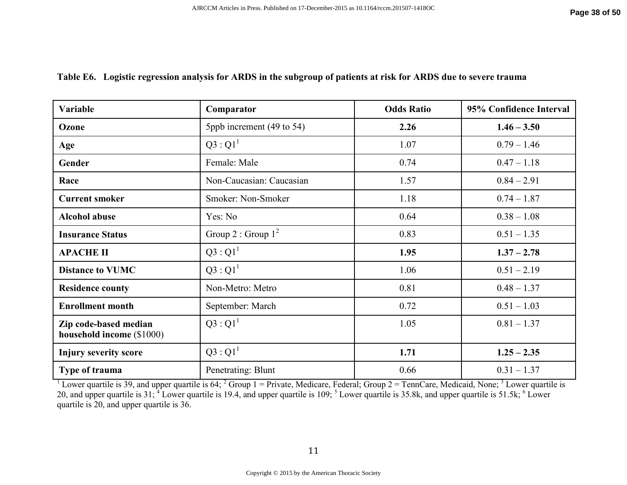### **Table E6. Logistic regression analysis for ARDS in the subgroup of patients at risk for ARDS due to severe trauma**

| <b>Variable</b>                                    | Comparator                | <b>Odds Ratio</b> | 95% Confidence Interval |
|----------------------------------------------------|---------------------------|-------------------|-------------------------|
| Ozone                                              | 5ppb increment (49 to 54) | 2.26              | $1.46 - 3.50$           |
| Age                                                | $Q3:Q1^1$                 | 1.07              | $0.79 - 1.46$           |
| Gender                                             | Female: Male              | 0.74              | $0.47 - 1.18$           |
| Race                                               | Non-Caucasian: Caucasian  | 1.57              | $0.84 - 2.91$           |
| <b>Current smoker</b>                              | Smoker: Non-Smoker        | 1.18              | $0.74 - 1.87$           |
| <b>Alcohol abuse</b>                               | Yes: No                   | 0.64              | $0.38 - 1.08$           |
| <b>Insurance Status</b>                            | Group 2 : Group $1^2$     | 0.83              | $0.51 - 1.35$           |
| <b>APACHE II</b>                                   | $Q3:Q1^1$                 | 1.95              | $1.37 - 2.78$           |
| <b>Distance to VUMC</b>                            | $Q3:Q1^1$                 | 1.06              | $0.51 - 2.19$           |
| <b>Residence county</b>                            | Non-Metro: Metro          | 0.81              | $0.48 - 1.37$           |
| <b>Enrollment month</b>                            | September: March          | 0.72              | $0.51 - 1.03$           |
| Zip code-based median<br>household income (\$1000) | $Q3:Q1^1$                 | 1.05              | $0.81 - 1.37$           |
| <b>Injury severity score</b>                       | $Q3:Q1^1$                 | 1.71              | $1.25 - 2.35$           |
| Type of trauma                                     | Penetrating: Blunt        | 0.66              | $0.31 - 1.37$           |

<sup>1</sup> Lower quartile is 39, and upper quartile is 64; <sup>2</sup> Group 1 = Private, Medicare, Federal; Group 2 = TennCare, Medicaid, None; <sup>3</sup> Lower quartile is 20, and upper quartile is 31; <sup>4</sup> Lower quartile is 19.4, and upper q quartile is 20, and upper quartile is 36.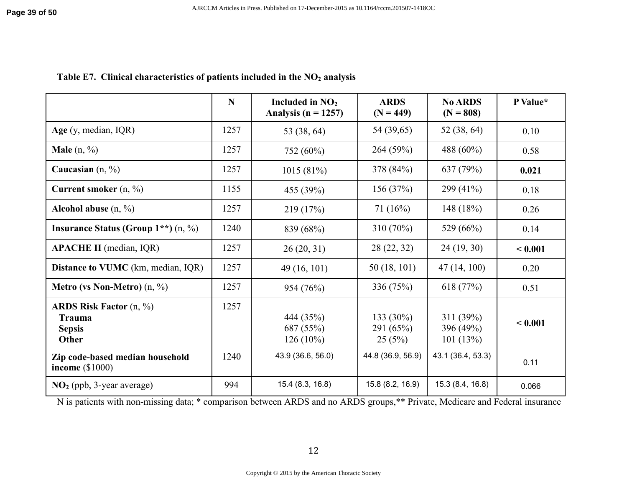# **Table E7. Clinical characteristics of patients included in the NO2 analysis**

|                                                                             | N    | Included in $NO2$<br>Analysis ( $n = 1257$ ) | <b>ARDS</b><br>$(N = 449)$        | <b>No ARDS</b><br>$(N = 808)$      | P Value* |
|-----------------------------------------------------------------------------|------|----------------------------------------------|-----------------------------------|------------------------------------|----------|
| Age $(y, \text{median}, \text{IQR})$                                        | 1257 | 53 (38, 64)                                  | 54 (39,65)                        | 52 (38, 64)                        | 0.10     |
| <b>Male</b> $(n, \frac{9}{6})$                                              | 1257 | 752 (60%)                                    | 264(59%)                          | 488 (60%)                          | 0.58     |
| Caucasian $(n, %)$                                                          | 1257 | 1015(81%)                                    | 378 (84%)                         | 637 (79%)                          | 0.021    |
| Current smoker $(n, %)$                                                     | 1155 | 455 (39%)                                    | 156(37%)                          | 299 (41%)                          | 0.18     |
| Alcohol abuse $(n, %)$                                                      | 1257 | 219 (17%)                                    | 71(16%)                           | 148 $(18%)$                        | 0.26     |
| Insurance Status (Group $1**$ ) (n, %)                                      | 1240 | 839 (68%)                                    | $310(70\%)$                       | 529 (66%)                          | 0.14     |
| <b>APACHE II</b> (median, IQR)                                              | 1257 | 26(20, 31)                                   | 28 (22, 32)                       | 24(19, 30)                         | < 0.001  |
| <b>Distance to VUMC</b> (km, median, IQR)                                   | 1257 | 49 (16, 101)                                 | 50(18, 101)                       | 47(14, 100)                        | 0.20     |
| <b>Metro (vs Non-Metro)</b> $(n, %)$                                        | 1257 | 954 (76%)                                    | 336 (75%)                         | 618 $(77%)$                        | 0.51     |
| <b>ARDS Risk Factor</b> $(n, %)$<br><b>Trauma</b><br><b>Sepsis</b><br>Other | 1257 | 444 (35%)<br>687 (55%)<br>$126(10\%)$        | $133(30\%)$<br>291(65%)<br>25(5%) | 311 (39%)<br>396 (49%)<br>101(13%) | < 0.001  |
| Zip code-based median household<br>income $(\$1000)$                        | 1240 | 43.9 (36.6, 56.0)                            | 44.8 (36.9, 56.9)                 | 43.1 (36.4, 53.3)                  | 0.11     |
| $NO2$ (ppb, 3-year average)                                                 | 994  | 15.4 (8.3, 16.8)                             | 15.8 (8.2, 16.9)                  | 15.3 (8.4, 16.8)                   | 0.066    |

N is patients with non-missing data; \* comparison between ARDS and no ARDS groups,\*\* Private, Medicare and Federal insurance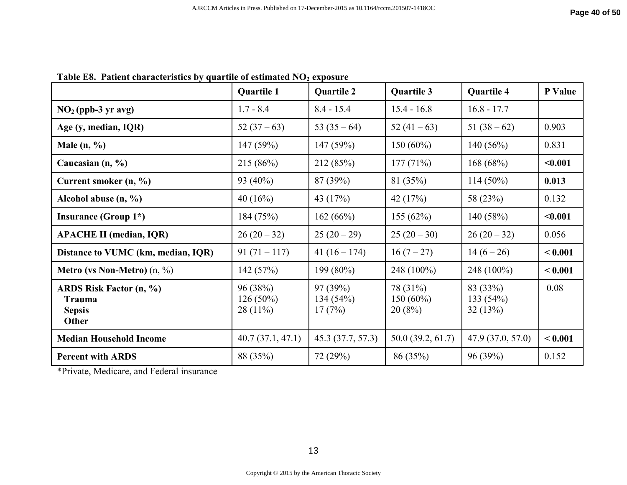|                                                             | <b>Quartile 1</b>                     | <b>Quartile 2</b>             | Quartile 3                        | <b>Quartile 4</b>               | P Value |
|-------------------------------------------------------------|---------------------------------------|-------------------------------|-----------------------------------|---------------------------------|---------|
| $NO2$ (ppb-3 yr avg)                                        | $1.7 - 8.4$                           | $8.4 - 15.4$                  | $15.4 - 16.8$                     | $16.8 - 17.7$                   |         |
| Age (y, median, IQR)                                        | $52(37-63)$                           | 53 $(35-64)$                  | 52 $(41-63)$                      | $51(38-62)$                     | 0.903   |
| Male $(n, %$                                                | 147 (59%)                             | 147(59%)                      | $150(60\%)$                       | 140(56%)                        | 0.831   |
| Caucasian $(n, %)$                                          | 215 (86%)                             | 212 (85%)                     | 177(71%)                          | 168(68%)                        | < 0.001 |
| Current smoker (n, %)                                       | 93 (40%)                              | 87 (39%)                      | 81 (35%)                          | $114(50\%)$                     | 0.013   |
| Alcohol abuse $(n, %)$                                      | 40 $(16%)$                            | 43 (17%)                      | 42 $(17%)$                        | 58 (23%)                        | 0.132   |
| <b>Insurance (Group 1*)</b>                                 | 184 (75%)                             | 162(66%)                      | 155(62%)                          | 140(58%)                        | < 0.001 |
| <b>APACHE II (median, IQR)</b>                              | $26(20-32)$                           | $25(20-29)$                   | $25(20-30)$                       | $26(20-32)$                     | 0.056   |
| Distance to VUMC (km, median, IQR)                          | $91(71 - 117)$                        | $41(16-174)$                  | $16(7-27)$                        | $14(6-26)$                      | < 0.001 |
| <b>Metro (vs Non-Metro)</b> $(n, \%)$                       | 142(57%)                              | $199(80\%)$                   | 248 (100%)                        | 248 (100%)                      | < 0.001 |
| ARDS Risk Factor (n, %)<br>Trauma<br><b>Sepsis</b><br>Other | 96 (38%)<br>$126(50\%)$<br>$28(11\%)$ | 97(39%)<br>134(54%)<br>17(7%) | 78 (31%)<br>$150(60\%)$<br>20(8%) | 83 (33%)<br>133(54%)<br>32(13%) | 0.08    |
| <b>Median Household Income</b>                              | 40.7(37.1, 47.1)                      | 45.3 (37.7, 57.3)             | 50.0(39.2, 61.7)                  | 47.9(37.0, 57.0)                | < 0.001 |
| <b>Percent with ARDS</b>                                    | 88 (35%)                              | 72 (29%)                      | 86 (35%)                          | 96(39%)                         | 0.152   |

**Table E8. Patient characteristics by quartile of estimated NO2 exposure** 

\*Private, Medicare, and Federal insurance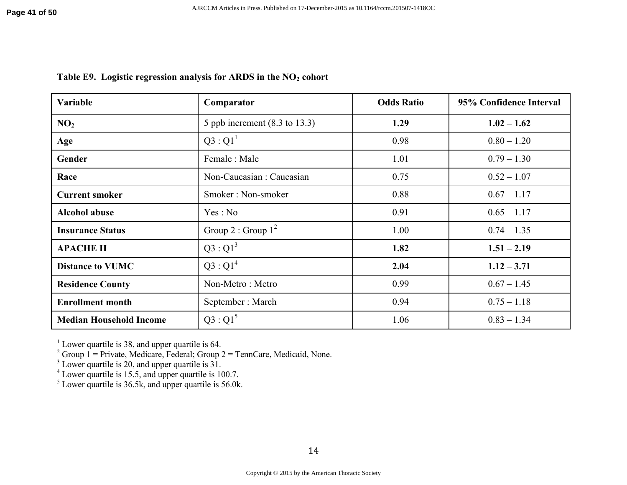| <b>Variable</b>                | Comparator                               | <b>Odds Ratio</b> | 95% Confidence Interval |
|--------------------------------|------------------------------------------|-------------------|-------------------------|
| NO <sub>2</sub>                | 5 ppb increment $(8.3 \text{ to } 13.3)$ | 1.29              | $1.02 - 1.62$           |
| Age                            | $Q3:Q1^1$                                | 0.98              | $0.80 - 1.20$           |
| Gender                         | Female: Male                             | 1.01              | $0.79 - 1.30$           |
| Race                           | Non-Caucasian : Caucasian                | 0.75              | $0.52 - 1.07$           |
| <b>Current smoker</b>          | Smoker: Non-smoker                       | 0.88              | $0.67 - 1.17$           |
| <b>Alcohol abuse</b>           | Yes: No                                  | 0.91              | $0.65 - 1.17$           |
| <b>Insurance Status</b>        | Group 2 : Group $1^2$                    | 1.00              | $0.74 - 1.35$           |
| <b>APACHE II</b>               | $Q3:Q1^3$                                | 1.82              | $1.51 - 2.19$           |
| <b>Distance to VUMC</b>        | $Q3:Q1^4$                                | 2.04              | $1.12 - 3.71$           |
| <b>Residence County</b>        | Non-Metro: Metro                         | 0.99              | $0.67 - 1.45$           |
| <b>Enrollment month</b>        | September: March                         | 0.94              | $0.75 - 1.18$           |
| <b>Median Household Income</b> | $Q3:Q1^5$                                | 1.06              | $0.83 - 1.34$           |

# **Table E9. Logistic regression analysis for ARDS in the NO2 cohort**

<sup>1</sup> Lower quartile is 38, and upper quartile is 64.<br>
<sup>2</sup> Group 1 = Private, Medicare, Federal; Group 2 = TennCare, Medicaid, None.<br>
<sup>3</sup> Lower quartile is 20, and upper quartile is 31.<br>
<sup>4</sup> Lower quartile is 15.5, and uppe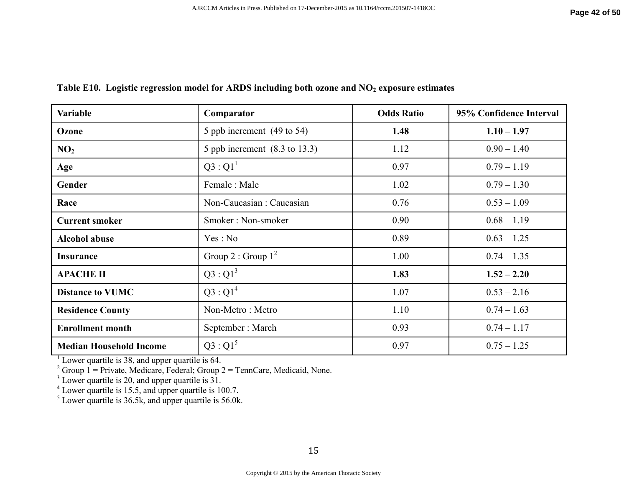| <b>Variable</b>                | Comparator                               | <b>Odds Ratio</b> | 95% Confidence Interval |
|--------------------------------|------------------------------------------|-------------------|-------------------------|
| Ozone                          | 5 ppb increment $(49 \text{ to } 54)$    | 1.48              | $1.10 - 1.97$           |
| NO <sub>2</sub>                | 5 ppb increment $(8.3 \text{ to } 13.3)$ | 1.12              | $0.90 - 1.40$           |
| Age                            | $Q3:Q1^1$                                | 0.97              | $0.79 - 1.19$           |
| Gender                         | Female: Male                             | 1.02              | $0.79 - 1.30$           |
| Race                           | Non-Caucasian: Caucasian                 | 0.76              | $0.53 - 1.09$           |
| <b>Current smoker</b>          | Smoker: Non-smoker                       | 0.90              | $0.68 - 1.19$           |
| <b>Alcohol abuse</b>           | Yes : No                                 | 0.89              | $0.63 - 1.25$           |
| <b>Insurance</b>               | Group 2 : Group $1^2$                    | 1.00              | $0.74 - 1.35$           |
| <b>APACHE II</b>               | $Q3:Q1^3$                                | 1.83              | $1.52 - 2.20$           |
| <b>Distance to VUMC</b>        | $Q3:Q1^4$                                | 1.07              | $0.53 - 2.16$           |
| <b>Residence County</b>        | Non-Metro: Metro                         | 1.10              | $0.74 - 1.63$           |
| <b>Enrollment month</b>        | September: March                         | 0.93              | $0.74 - 1.17$           |
| <b>Median Household Income</b> | $Q3:Q1^5$                                | 0.97              | $0.75 - 1.25$           |

# **Table E10. Logistic regression model for ARDS including both ozone and NO2 exposure estimates**

<sup>1</sup> Lower quartile is 38, and upper quartile is 64.<br>
<sup>2</sup> Group 1 = Private, Medicare, Federal; Group 2 = TennCare, Medicaid, None.<br>
<sup>3</sup> Lower quartile is 20, and upper quartile is 31.<br>
<sup>4</sup> Lower quartile is 15.5, and uppe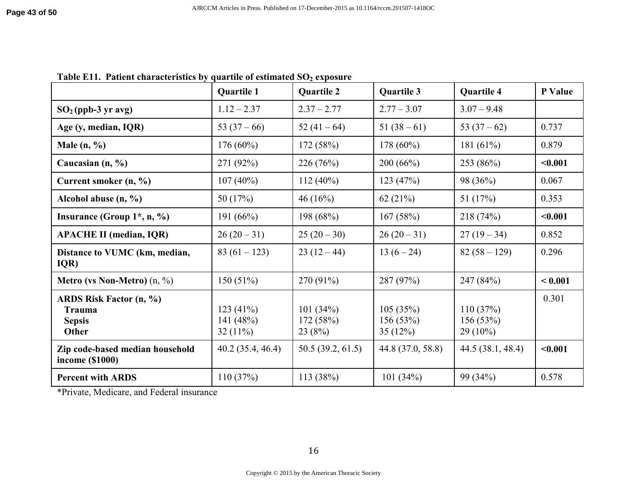|                                                                           | <b>Quartile 1</b>                      | <b>Quartile 2</b>               | <b>Quartile 3</b>               | <b>Quartile 4</b>                  | P Value |
|---------------------------------------------------------------------------|----------------------------------------|---------------------------------|---------------------------------|------------------------------------|---------|
| $SO2(ppb-3 yr avg)$                                                       | $1.12 - 2.37$                          | $2.37 - 2.77$                   | $2.77 - 3.07$                   | $3.07 - 9.48$                      |         |
| Age (y, median, IQR)                                                      | 53 $(37-66)$                           | 52 $(41-64)$                    | $51(38-61)$                     | 53 $(37-62)$                       | 0.737   |
| Male $(n, %$                                                              | $176(60\%)$                            | 172 (58%)                       | $178(60\%)$                     | 181 $(61\%)$                       | 0.879   |
| Caucasian $(n, %)$                                                        | 271 (92%)                              | 226 (76%)                       | 200(66%)                        | 253 (86%)                          | < 0.001 |
| Current smoker (n, %)                                                     | $107(40\%)$                            | $112(40\%)$                     | 123(47%)                        | 98 (36%)                           | 0.067   |
| Alcohol abuse $(n, %)$                                                    | 50 (17%)                               | 46(16%)                         | 62(21%)                         | 51 $(17%)$                         | 0.353   |
| Insurance (Group $1^*$ , n, $\%$ )                                        | 191 $(66%)$                            | 198 (68%)                       | 167(58%)                        | 218(74%)                           | < 0.001 |
| <b>APACHE II (median, IQR)</b>                                            | $26(20-31)$                            | $25(20-30)$                     | $26(20-31)$                     | $27(19-34)$                        | 0.852   |
| Distance to VUMC (km, median,<br>IQR)                                     | $83(61-123)$                           | $23(12-44)$                     | $13(6-24)$                      | $82(58-129)$                       | 0.296   |
| <b>Metro (vs Non-Metro)</b> $(n, \frac{9}{6})$                            | 150(51%)                               | 270 (91%)                       | 287 (97%)                       | 247 (84%)                          | < 0.001 |
| <b>ARDS Risk Factor (n, %)</b><br>Trauma<br><b>Sepsis</b><br><b>Other</b> | 123 $(41%)$<br>141 (48%)<br>$32(11\%)$ | 101(34%)<br>172 (58%)<br>23(8%) | 105(35%)<br>156(53%)<br>35(12%) | 110(37%)<br>156(53%)<br>$29(10\%)$ | 0.301   |
| Zip code-based median household<br>income (\$1000)                        | 40.2(35.4, 46.4)                       | 50.5(39.2, 61.5)                | 44.8 (37.0, 58.8)               | 44.5(38.1, 48.4)                   | < 0.001 |
| <b>Percent with ARDS</b>                                                  | 110(37%)                               | 113 (38%)                       | 101 $(34%)$                     | 99 (34%)                           | 0.578   |

**Table E11. Patient characteristics by quartile of estimated SO2 exposure**

\*Private, Medicare, and Federal insurance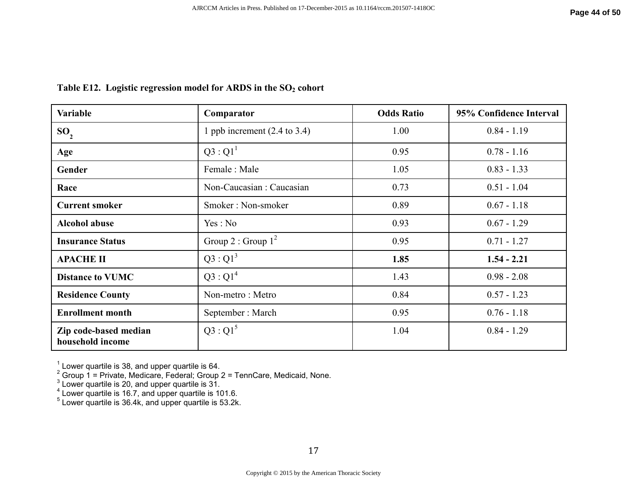| <b>Variable</b>                           | Comparator                              | <b>Odds Ratio</b> | 95% Confidence Interval |
|-------------------------------------------|-----------------------------------------|-------------------|-------------------------|
| SO <sub>2</sub>                           | 1 ppb increment $(2.4 \text{ to } 3.4)$ | 1.00              | $0.84 - 1.19$           |
| Age                                       | $Q3:Q1^1$                               | 0.95              | $0.78 - 1.16$           |
| Gender                                    | Female: Male                            | 1.05              | $0.83 - 1.33$           |
| Race                                      | Non-Caucasian: Caucasian                | 0.73              | $0.51 - 1.04$           |
| <b>Current smoker</b>                     | Smoker: Non-smoker                      | 0.89              | $0.67 - 1.18$           |
| <b>Alcohol abuse</b>                      | Yes: No                                 | 0.93              | $0.67 - 1.29$           |
| <b>Insurance Status</b>                   | Group 2 : Group $1^2$                   | 0.95              | $0.71 - 1.27$           |
| <b>APACHE II</b>                          | $Q3:Q1^3$                               | 1.85              | $1.54 - 2.21$           |
| <b>Distance to VUMC</b>                   | $Q3:Q1^4$                               | 1.43              | $0.98 - 2.08$           |
| <b>Residence County</b>                   | Non-metro: Metro                        | 0.84              | $0.57 - 1.23$           |
| <b>Enrollment month</b>                   | September: March                        | 0.95              | $0.76 - 1.18$           |
| Zip code-based median<br>household income | $Q3:Q1^5$                               | 1.04              | $0.84 - 1.29$           |

### **Table E12. Logistic regression model for ARDS in the SO2 cohort**

<sup>1</sup> Lower quartile is 38, and upper quartile is 64.<br>
<sup>2</sup> Group 1 = Private, Medicare, Federal; Group 2 = TennCare, Medicaid, None.<br>
<sup>3</sup> Lower quartile is 20, and upper quartile is 31.<br>
<sup>4</sup> Lower quartile is 16.7, and uppe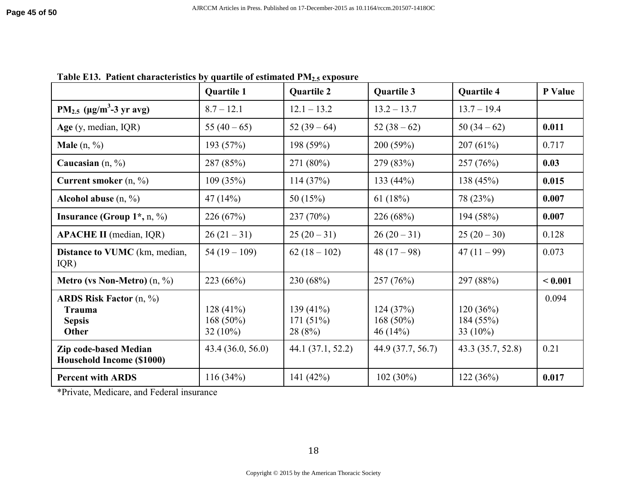|                                                                      | <b>Quartile 1</b>                      | <b>Quartile 2</b>                   | <b>Quartile 3</b>                   | <b>Quartile 4</b>                    | P Value |
|----------------------------------------------------------------------|----------------------------------------|-------------------------------------|-------------------------------------|--------------------------------------|---------|
| $PM_{2.5}$ (µg/m <sup>3</sup> -3 yr avg)                             | $8.7 - 12.1$                           | $12.1 - 13.2$                       | $13.2 - 13.7$                       | $13.7 - 19.4$                        |         |
| Age $(y, \text{median}, \text{IQR})$                                 | 55 $(40-65)$                           | $52(39-64)$                         | $52(38-62)$                         | $50(34-62)$                          | 0.011   |
| <b>Male</b> $(n, \frac{9}{6})$                                       | 193 (57%)                              | 198 (59%)                           | 200 (59%)                           | 207(61%)                             | 0.717   |
| Caucasian $(n, %)$                                                   | 287 (85%)                              | 271 (80%)                           | 279 (83%)                           | 257 (76%)                            | 0.03    |
| Current smoker $(n, %)$                                              | 109(35%)                               | 114(37%)                            | 133 (44%)                           | 138 (45%)                            | 0.015   |
| Alcohol abuse $(n, \frac{9}{6})$                                     | 47(14%)                                | 50 $(15%)$                          | 61 $(18%)$                          | 78 (23%)                             | 0.007   |
| Insurance (Group $1^*$ , n, %)                                       | 226(67%)                               | 237 (70%)                           | 226 (68%)                           | 194 (58%)                            | 0.007   |
| <b>APACHE II</b> (median, IQR)                                       | $26(21-31)$                            | $25(20-31)$                         | $26(20-31)$                         | $25(20-30)$                          | 0.128   |
| <b>Distance to VUMC</b> (km, median,<br>IQR)                         | $54(19-109)$                           | $62(18-102)$                        | 48 $(17-98)$                        | $47(11-99)$                          | 0.073   |
| <b>Metro (vs Non-Metro)</b> $(n, \frac{9}{6})$                       | 223(66%)                               | 230 (68%)                           | 257 (76%)                           | 297 (88%)                            | < 0.001 |
| ARDS Risk Factor $(n, %)$<br><b>Trauma</b><br><b>Sepsis</b><br>Other | 128(41%)<br>168 $(50\%)$<br>$32(10\%)$ | 139 $(41\%)$<br>171(51%)<br>28 (8%) | 124(37%)<br>168 $(50\%)$<br>46(14%) | 120(36%)<br>184 (55%)<br>33 $(10\%)$ | 0.094   |
| Zip code-based Median<br><b>Household Income (\$1000)</b>            | 43.4 (36.0, 56.0)                      | 44.1 (37.1, 52.2)                   | 44.9 (37.7, 56.7)                   | 43.3 (35.7, 52.8)                    | 0.21    |
| <b>Percent with ARDS</b>                                             | 116(34%)                               | 141 (42%)                           | $102(30\%)$                         | 122(36%)                             | 0.017   |

**Table E13. Patient characteristics by quartile of estimated PM2.5 exposure** 

\*Private, Medicare, and Federal insurance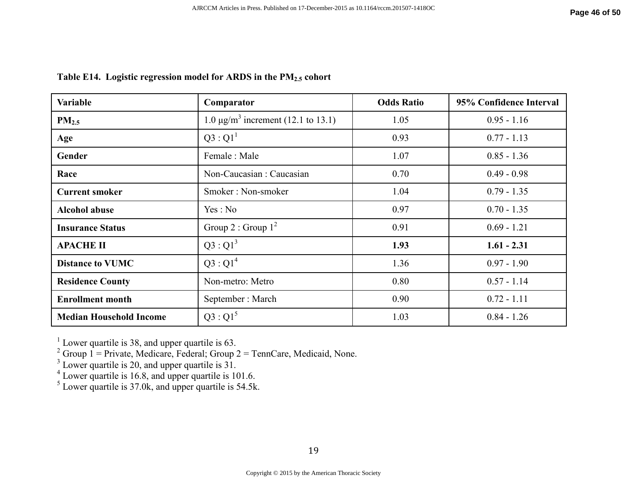| <b>Variable</b>                | Comparator                                     | <b>Odds Ratio</b> | 95% Confidence Interval |
|--------------------------------|------------------------------------------------|-------------------|-------------------------|
| PM <sub>2.5</sub>              | 1.0 μg/m <sup>3</sup> increment (12.1 to 13.1) | 1.05              | $0.95 - 1.16$           |
| Age                            | $Q3:Q1^1$                                      | 0.93              | $0.77 - 1.13$           |
| Gender                         | Female: Male                                   | 1.07              | $0.85 - 1.36$           |
| Race                           | Non-Caucasian: Caucasian                       | 0.70              | $0.49 - 0.98$           |
| <b>Current smoker</b>          | Smoker: Non-smoker                             | 1.04              | $0.79 - 1.35$           |
| <b>Alcohol abuse</b>           | Yes: No                                        | 0.97              | $0.70 - 1.35$           |
| <b>Insurance Status</b>        | Group 2 : Group $1^2$                          | 0.91              | $0.69 - 1.21$           |
| <b>APACHE II</b>               | $Q3:Q1^3$                                      | 1.93              | $1.61 - 2.31$           |
| <b>Distance to VUMC</b>        | $Q3:Q1^4$                                      | 1.36              | $0.97 - 1.90$           |
| <b>Residence County</b>        | Non-metro: Metro                               | 0.80              | $0.57 - 1.14$           |
| <b>Enrollment month</b>        | September: March                               | 0.90              | $0.72 - 1.11$           |
| <b>Median Household Income</b> | $Q3:Q1^5$                                      | 1.03              | $0.84 - 1.26$           |

# **Table E14. Logistic regression model for ARDS in the PM2.5 cohort**

<sup>1</sup> Lower quartile is 38, and upper quartile is 63.<br>
<sup>2</sup> Group 1 = Private, Medicare, Federal; Group 2 = TennCare, Medicaid, None.<br>
<sup>3</sup> Lower quartile is 20, and upper quartile is 31.<br>
<sup>4</sup> Lower quartile is 16.8, and uppe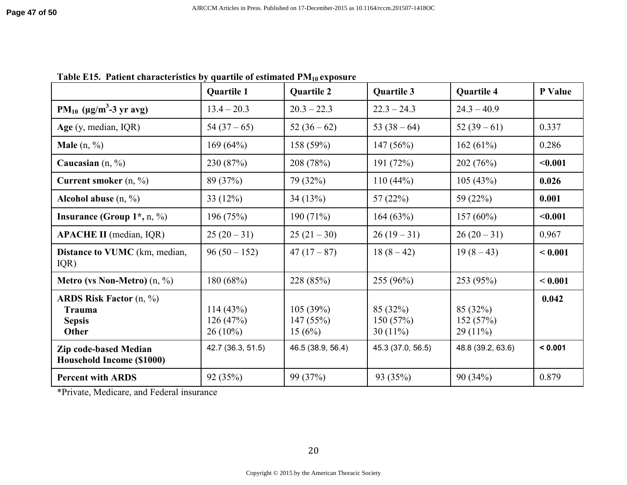|                                                                                | <b>Quartile 1</b>                  | <b>Quartile 2</b>              | Quartile 3                          | <b>Quartile 4</b>                  | P Value |
|--------------------------------------------------------------------------------|------------------------------------|--------------------------------|-------------------------------------|------------------------------------|---------|
| PM <sub>10</sub> ( $\mu$ g/m <sup>3</sup> -3 yr avg)                           | $13.4 - 20.3$                      | $20.3 - 22.3$                  | $22.3 - 24.3$                       | $24.3 - 40.9$                      |         |
| Age $(y, \text{median}, \text{IQR})$                                           | $54(37-65)$                        | $52(36-62)$                    | 53 $(38-64)$                        | $52(39-61)$                        | 0.337   |
| <b>Male</b> $(n, %)$                                                           | 169(64%)                           | 158 (59%)                      | 147(56%)                            | 162(61%)                           | 0.286   |
| Caucasian $(n, %)$                                                             | 230 (87%)                          | 208 (78%)                      | 191 $(72%)$                         | 202(76%)                           | < 0.001 |
| Current smoker $(n, \frac{9}{6})$                                              | 89 (37%)                           | 79 (32%)                       | $110(44\%)$                         | 105(43%)                           | 0.026   |
| Alcohol abuse $(n, %)$                                                         | 33 $(12%)$                         | 34(13%)                        | 57 $(22%)$                          | 59 (22%)                           | 0.001   |
| Insurance (Group $1^*$ , n, %)                                                 | 196 (75%)                          | 190(71%)                       | 164(63%)                            | $157(60\%)$                        | < 0.001 |
| <b>APACHE II</b> (median, IQR)                                                 | $25(20-31)$                        | $25(21-30)$                    | $26(19-31)$                         | $26(20-31)$                        | 0.967   |
| <b>Distance to VUMC</b> (km, median,<br>IQR)                                   | $96(50-152)$                       | $47(17-87)$                    | $18(8-42)$                          | $19(8-43)$                         | < 0.001 |
| <b>Metro (vs Non-Metro)</b> $(n, %)$                                           | 180 (68%)                          | 228 (85%)                      | 255 (96%)                           | 253 (95%)                          | < 0.001 |
| ARDS Risk Factor $(n, \frac{9}{6})$<br><b>Trauma</b><br><b>Sepsis</b><br>Other | 114(43%)<br>126(47%)<br>$26(10\%)$ | 105(39%)<br>147(55%)<br>15(6%) | 85 (32%)<br>150(57%)<br>30 $(11\%)$ | 85 (32%)<br>152(57%)<br>$29(11\%)$ | 0.042   |
| <b>Zip code-based Median</b><br>Household Income (\$1000)                      | 42.7 (36.3, 51.5)                  | 46.5 (38.9, 56.4)              | 45.3 (37.0, 56.5)                   | 48.8 (39.2, 63.6)                  | < 0.001 |
| <b>Percent with ARDS</b>                                                       | 92 (35%)                           | 99 (37%)                       | 93 (35%)                            | 90(34%)                            | 0.879   |

**Table E15. Patient characteristics by quartile of estimated PM10 exposure** 

\*Private, Medicare, and Federal insurance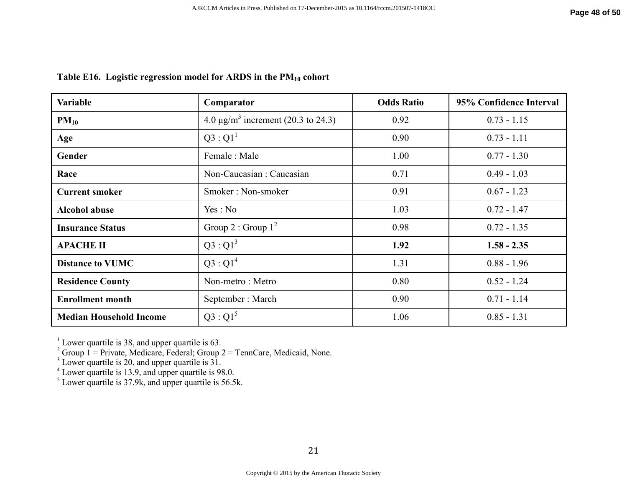| Variable                       | Comparator                                          | <b>Odds Ratio</b> | 95% Confidence Interval |
|--------------------------------|-----------------------------------------------------|-------------------|-------------------------|
| $PM_{10}$                      | 4.0 $\mu$ g/m <sup>3</sup> increment (20.3 to 24.3) | 0.92              | $0.73 - 1.15$           |
| Age                            | $Q3:Q1^1$                                           | 0.90              | $0.73 - 1.11$           |
| Gender                         | Female: Male                                        | 1.00              | $0.77 - 1.30$           |
| Race                           | Non-Caucasian: Caucasian                            | 0.71              | $0.49 - 1.03$           |
| <b>Current smoker</b>          | Smoker: Non-smoker                                  | 0.91              | $0.67 - 1.23$           |
| <b>Alcohol abuse</b>           | Yes: No                                             | 1.03              | $0.72 - 1.47$           |
| <b>Insurance Status</b>        | Group 2 : Group $1^2$                               | 0.98              | $0.72 - 1.35$           |
| <b>APACHE II</b>               | $Q3:Q1^3$                                           | 1.92              | $1.58 - 2.35$           |
| <b>Distance to VUMC</b>        | $Q3:Q1^4$                                           | 1.31              | $0.88 - 1.96$           |
| <b>Residence County</b>        | Non-metro: Metro                                    | 0.80              | $0.52 - 1.24$           |
| <b>Enrollment month</b>        | September: March                                    | 0.90              | $0.71 - 1.14$           |
| <b>Median Household Income</b> | $Q3:Q1^5$                                           | 1.06              | $0.85 - 1.31$           |

## **Table E16. Logistic regression model for ARDS in the PM10 cohort**

<sup>1</sup> Lower quartile is 38, and upper quartile is 63.<br>
<sup>2</sup> Group 1 = Private, Medicare, Federal; Group 2 = TennCare, Medicaid, None.<br>
<sup>3</sup> Lower quartile is 20, and upper quartile is 31.<br>
<sup>4</sup> Lower quartile is 13.9, and uppe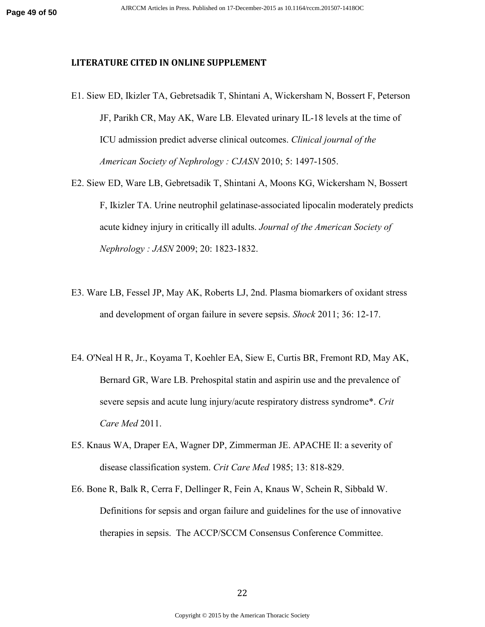#### **LITERATURE CITED IN ONLINE SUPPLEMENT**

- E1. Siew ED, Ikizler TA, Gebretsadik T, Shintani A, Wickersham N, Bossert F, Peterson JF, Parikh CR, May AK, Ware LB. Elevated urinary IL-18 levels at the time of ICU admission predict adverse clinical outcomes. *Clinical journal of the American Society of Nephrology : CJASN* 2010; 5: 1497-1505.
- E2. Siew ED, Ware LB, Gebretsadik T, Shintani A, Moons KG, Wickersham N, Bossert F, Ikizler TA. Urine neutrophil gelatinase-associated lipocalin moderately predicts acute kidney injury in critically ill adults. *Journal of the American Society of Nephrology : JASN* 2009; 20: 1823-1832.
- E3. Ware LB, Fessel JP, May AK, Roberts LJ, 2nd. Plasma biomarkers of oxidant stress and development of organ failure in severe sepsis. *Shock* 2011; 36: 12-17.
- E4. O'Neal H R, Jr., Koyama T, Koehler EA, Siew E, Curtis BR, Fremont RD, May AK, Bernard GR, Ware LB. Prehospital statin and aspirin use and the prevalence of severe sepsis and acute lung injury/acute respiratory distress syndrome\*. *Crit Care Med* 2011.
- E5. Knaus WA, Draper EA, Wagner DP, Zimmerman JE. APACHE II: a severity of disease classification system. *Crit Care Med* 1985; 13: 818-829.
- E6. Bone R, Balk R, Cerra F, Dellinger R, Fein A, Knaus W, Schein R, Sibbald W. Definitions for sepsis and organ failure and guidelines for the use of innovative therapies in sepsis. The ACCP/SCCM Consensus Conference Committee.